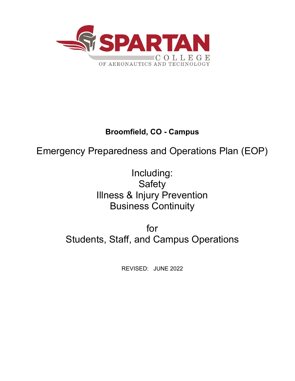

# **Broomfield, CO - Campus**

# Emergency Preparedness and Operations Plan (EOP)

Including: **Safety** Illness & Injury Prevention Business Continuity

for Students, Staff, and Campus Operations

REVISED: JUNE 2022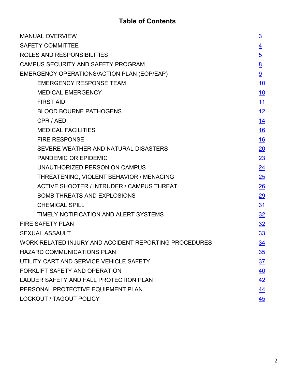# **Table of Contents**

| <b>MANUAL OVERVIEW</b>                                | $\overline{3}$ |  |
|-------------------------------------------------------|----------------|--|
| <b>SAFETY COMMITTEE</b>                               |                |  |
| ROLES AND RESPONSIBILITIES                            |                |  |
| CAMPUS SECURITY AND SAFETY PROGRAM                    |                |  |
| EMERGENCY OPERATIONS/ACTION PLAN (EOP/EAP)            |                |  |
| <b>EMERGENCY RESPONSE TEAM</b>                        | 10             |  |
| <b>MEDICAL EMERGENCY</b>                              | <u>10</u>      |  |
| <b>FIRST AID</b>                                      | <u>11</u>      |  |
| <b>BLOOD BOURNE PATHOGENS</b>                         | <u>12</u>      |  |
| CPR / AED                                             | <u> 14</u>     |  |
| <b>MEDICAL FACILITIES</b>                             | <u>16</u>      |  |
| <b>FIRE RESPONSE</b>                                  | 16             |  |
| SEVERE WEATHER AND NATURAL DISASTERS                  | 20             |  |
| PANDEMIC OR EPIDEMIC                                  | 23             |  |
| UNAUTHORIZED PERSON ON CAMPUS                         | 24             |  |
| THREATENING, VIOLENT BEHAVIOR / MENACING              | 25             |  |
| <b>ACTIVE SHOOTER / INTRUDER / CAMPUS THREAT</b>      | 26             |  |
| <b>BOMB THREATS AND EXPLOSIONS</b>                    | 29             |  |
| <b>CHEMICAL SPILL</b>                                 | 31             |  |
| TIMELY NOTIFICATION AND ALERT SYSTEMS                 | $\frac{32}{2}$ |  |
| <b>FIRE SAFETY PLAN</b>                               | 32             |  |
| <b>SEXUAL ASSAULT</b>                                 |                |  |
| WORK RELATED INJURY AND ACCIDENT REPORTING PROCEDURES | <u>34</u>      |  |
| <b>HAZARD COMMUNICATIONS PLAN</b>                     |                |  |
| UTILITY CART AND SERVICE VEHICLE SAFETY               |                |  |
| FORKLIFT SAFETY AND OPERATION                         |                |  |
| LADDER SAFETY AND FALL PROTECTION PLAN                |                |  |
| PERSONAL PROTECTIVE EQUIPMENT PLAN                    |                |  |
| <b>LOCKOUT / TAGOUT POLICY</b>                        |                |  |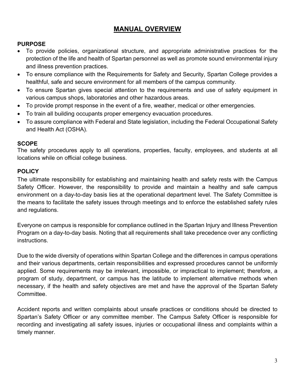# <span id="page-2-0"></span>**MANUAL OVERVIEW**

#### **PURPOSE**

- To provide policies, organizational structure, and appropriate administrative practices for the protection of the life and health of Spartan personnel as well as promote sound environmental injury and illness prevention practices.
- To ensure compliance with the Requirements for Safety and Security, Spartan College provides a healthful, safe and secure environment for all members of the campus community.
- To ensure Spartan gives special attention to the requirements and use of safety equipment in various campus shops, laboratories and other hazardous areas.
- To provide prompt response in the event of a fire, weather, medical or other emergencies.
- To train all building occupants proper emergency evacuation procedures.
- To assure compliance with Federal and State legislation, including the Federal Occupational Safety and Health Act (OSHA).

#### **SCOPE**

The safety procedures apply to all operations, properties, faculty, employees, and students at all locations while on official college business.

#### **POLICY**

The ultimate responsibility for establishing and maintaining health and safety rests with the Campus Safety Officer. However, the responsibility to provide and maintain a healthy and safe campus environment on a day-to-day basis lies at the operational department level. The Safety Committee is the means to facilitate the safety issues through meetings and to enforce the established safety rules and regulations.

Everyone on campus is responsible for compliance outlined in the Spartan Injury and Illness Prevention Program on a day-to-day basis. Noting that all requirements shall take precedence over any conflicting instructions.

Due to the wide diversity of operations within Spartan College and the differences in campus operations and their various departments, certain responsibilities and expressed procedures cannot be uniformly applied. Some requirements may be irrelevant, impossible, or impractical to implement; therefore, a program of study, department, or campus has the latitude to implement alternative methods when necessary, if the health and safety objectives are met and have the approval of the Spartan Safety Committee.

Accident reports and written complaints about unsafe practices or conditions should be directed to Spartan's Safety Officer or any committee member. The Campus Safety Officer is responsible for recording and investigating all safety issues, injuries or occupational illness and complaints within a timely manner.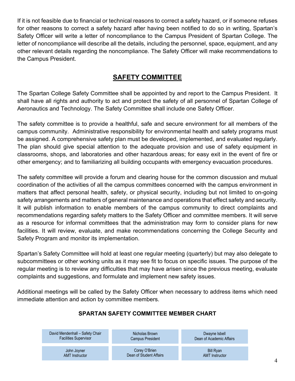If it is not feasible due to financial or technical reasons to correct a safety hazard, or if someone refuses for other reasons to correct a safety hazard after having been notified to do so in writing, Spartan's Safety Officer will write a letter of noncompliance to the Campus President of Spartan College. The letter of noncompliance will describe all the details, including the personnel, space, equipment, and any other relevant details regarding the noncompliance. The Safety Officer will make recommendations to the Campus President.

# **SAFETY COMMITTEE**

<span id="page-3-0"></span>The Spartan College Safety Committee shall be appointed by and report to the Campus President. It shall have all rights and authority to act and protect the safety of all personnel of Spartan College of Aeronautics and Technology. The Safety Committee shall include one Safety Officer.

The safety committee is to provide a healthful, safe and secure environment for all members of the campus community. Administrative responsibility for environmental health and safety programs must be assigned. A comprehensive safety plan must be developed, implemented, and evaluated regularly. The plan should give special attention to the adequate provision and use of safety equipment in classrooms, shops, and laboratories and other hazardous areas; for easy exit in the event of fire or other emergency; and to familiarizing all building occupants with emergency evacuation procedures.

The safety committee will provide a forum and clearing house for the common discussion and mutual coordination of the activities of all the campus committees concerned with the campus environment in matters that affect personal health, safety, or physical security, including but not limited to on-going safety arrangements and matters of general maintenance and operations that effect safety and security. It will publish information to enable members of the campus community to direct complaints and recommendations regarding safety matters to the Safety Officer and committee members. It will serve as a resource for informal committees that the administration may form to consider plans for new facilities. It will review, evaluate, and make recommendations concerning the College Security and Safety Program and monitor its implementation.

Spartan's Safety Committee will hold at least one regular meeting (quarterly) but may also delegate to subcommittees or other working units as it may see fit to focus on specific issues. The purpose of the regular meeting is to review any difficulties that may have arisen since the previous meeting, evaluate complaints and suggestions, and formulate and implement new safety issues.

Additional meetings will be called by the Safety Officer when necessary to address items which need immediate attention and action by committee members.

# **SPARTAN SAFETY COMMITTEE MEMBER CHART**

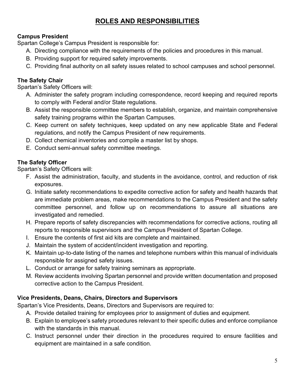# **ROLES AND RESPONSIBILITIES**

# <span id="page-4-0"></span>**Campus President**

Spartan College's Campus President is responsible for:

- A. Directing compliance with the requirements of the policies and procedures in this manual.
- B. Providing support for required safety improvements.
- C. Providing final authority on all safety issues related to school campuses and school personnel.

# **The Safety Chair**

Spartan's Safety Officers will:

- A. Administer the safety program including correspondence, record keeping and required reports to comply with Federal and/or State regulations.
- B. Assist the responsible committee members to establish, organize, and maintain comprehensive safety training programs within the Spartan Campuses.
- C. Keep current on safety techniques, keep updated on any new applicable State and Federal regulations, and notify the Campus President of new requirements.
- D. Collect chemical inventories and compile a master list by shops.
- E. Conduct semi-annual safety committee meetings.

# **The Safety Officer**

Spartan's Safety Officers will:

- F. Assist the administration, faculty, and students in the avoidance, control, and reduction of risk exposures.
- G. Initiate safety recommendations to expedite corrective action for safety and health hazards that are immediate problem areas, make recommendations to the Campus President and the safety committee personnel, and follow up on recommendations to assure all situations are investigated and remedied.
- H. Prepare reports of safety discrepancies with recommendations for corrective actions, routing all reports to responsible supervisors and the Campus President of Spartan College.
- I. Ensure the contents of first aid kits are complete and maintained.
- J. Maintain the system of accident/incident investigation and reporting.
- K. Maintain up-to-date listing of the names and telephone numbers within this manual of individuals responsible for assigned safety issues.
- L. Conduct or arrange for safety training seminars as appropriate.
- M. Review accidents involving Spartan personnel and provide written documentation and proposed corrective action to the Campus President.

# **Vice Presidents, Deans, Chairs, Directors and Supervisors**

Spartan's Vice Presidents, Deans, Directors and Supervisors are required to:

- A. Provide detailed training for employees prior to assignment of duties and equipment.
- B. Explain to employee's safety procedures relevant to their specific duties and enforce compliance with the standards in this manual.
- C. Instruct personnel under their direction in the procedures required to ensure facilities and equipment are maintained in a safe condition.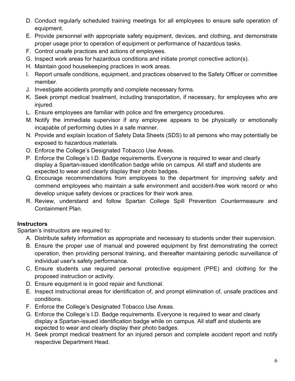- D. Conduct regularly scheduled training meetings for all employees to ensure safe operation of equipment.
- E. Provide personnel with appropriate safety equipment, devices, and clothing, and demonstrate proper usage prior to operation of equipment or performance of hazardous tasks.
- F. Control unsafe practices and actions of employees.
- G. Inspect work areas for hazardous conditions and initiate prompt corrective action(s).
- H. Maintain good housekeeping practices in work areas.
- I. Report unsafe conditions, equipment, and practices observed to the Safety Officer or committee member.
- J. Investigate accidents promptly and complete necessary forms.
- K. Seek prompt medical treatment, including transportation, if necessary, for employees who are injured.
- L. Ensure employees are familiar with police and fire emergency procedures.
- M. Notify the immediate supervisor if any employee appears to be physically or emotionally incapable of performing duties in a safe manner.
- N. Provide and explain location of Safety Data Sheets (SDS) to all persons who may potentially be exposed to hazardous materials.
- O. Enforce the College's Designated Tobacco Use Areas.
- P. Enforce the College's I.D. Badge requirements. Everyone is required to wear and clearly display a Spartan-issued identification badge while on campus. All staff and students are expected to wear and clearly display their photo badges.
- Q. Encourage recommendations from employees to the department for improving safety and commend employees who maintain a safe environment and accident-free work record or who develop unique safety devices or practices for their work area.
- R. Review, understand and follow Spartan College Spill Prevention Countermeasure and Containment Plan.

# **Instructors**

Spartan's instructors are required to:

- A. Distribute safety information as appropriate and necessary to students under their supervision.
- B. Ensure the proper use of manual and powered equipment by first demonstrating the correct operation, then providing personal training, and thereafter maintaining periodic surveillance of individual user's safety performance.
- C. Ensure students use required personal protective equipment (PPE) and clothing for the proposed instruction or activity.
- D. Ensure equipment is in good repair and functional.
- E. Inspect instructional areas for identification of, and prompt elimination of, unsafe practices and conditions.
- F. Enforce the College's Designated Tobacco Use Areas.
- G. Enforce the College's I.D. Badge requirements. Everyone is required to wear and clearly display a Spartan-issued identification badge while on campus. All staff and students are expected to wear and clearly display their photo badges.
- H. Seek prompt medical treatment for an injured person and complete accident report and notify respective Department Head.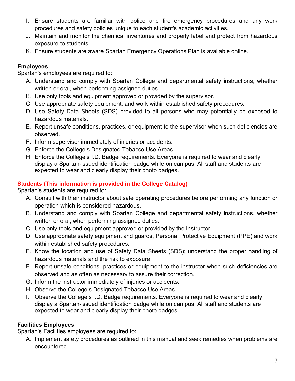- I. Ensure students are familiar with police and fire emergency procedures and any work procedures and safety policies unique to each student's academic activities.
- J. Maintain and monitor the chemical inventories and properly label and protect from hazardous exposure to students.
- K. Ensure students are aware Spartan Emergency Operations Plan is available online.

# **Employees**

Spartan's employees are required to:

- A. Understand and comply with Spartan College and departmental safety instructions, whether written or oral, when performing assigned duties.
- B. Use only tools and equipment approved or provided by the supervisor.
- C. Use appropriate safety equipment, and work within established safety procedures.
- D. Use Safety Data Sheets (SDS) provided to all persons who may potentially be exposed to hazardous materials.
- E. Report unsafe conditions, practices, or equipment to the supervisor when such deficiencies are observed.
- F. Inform supervisor immediately of injuries or accidents.
- G. Enforce the College's Designated Tobacco Use Areas.
- H. Enforce the College's I.D. Badge requirements. Everyone is required to wear and clearly display a Spartan-issued identification badge while on campus. All staff and students are expected to wear and clearly display their photo badges.

# **Students (This information is provided in the College Catalog)**

Spartan's students are required to:

- A. Consult with their instructor about safe operating procedures before performing any function or operation which is considered hazardous.
- B. Understand and comply with Spartan College and departmental safety instructions, whether written or oral, when performing assigned duties.
- C. Use only tools and equipment approved or provided by the Instructor.
- D. Use appropriate safety equipment and guards, Personal Protective Equipment (PPE) and work within established safety procedures.
- E. Know the location and use of Safety Data Sheets (SDS); understand the proper handling of hazardous materials and the risk to exposure.
- F. Report unsafe conditions, practices or equipment to the instructor when such deficiencies are observed and as often as necessary to assure their correction.
- G. Inform the instructor immediately of injuries or accidents.
- H. Observe the College's Designated Tobacco Use Areas.
- I. Observe the College's I.D. Badge requirements. Everyone is required to wear and clearly display a Spartan-issued identification badge while on campus. All staff and students are expected to wear and clearly display their photo badges.

# **Facilities Employees**

Spartan's Facilities employees are required to:

A. Implement safety procedures as outlined in this manual and seek remedies when problems are encountered.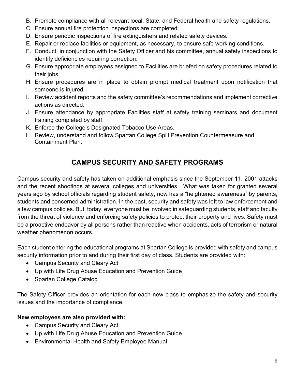- B. Promote compliance with all relevant local, State, and Federal health and safety regulations.
- C. Ensure annual fire protection inspections are completed.
- D. Ensure periodic inspections of fire extinguishers and related safety devices.
- E. Repair or replace facilities or equipment, as necessary, to ensure safe working conditions.
- F. Conduct, in conjunction with the Safety Officer and his committee, annual safety inspections to identify deficiencies requiring correction.
- G. Ensure appropriate employees assigned to Facilities are briefed on safety procedures related to their jobs.
- H. Ensure procedures are in place to obtain prompt medical treatment upon notification that someone is injured.
- I. Review accident reports and the safety committee's recommendations and implement corrective actions as directed.
- J. Ensure attendance by appropriate Facilities staff at safety training seminars and document training completed by staff.
- K. Enforce the College's Designated Tobacco Use Areas.
- <span id="page-7-0"></span>L. Review, understand and follow Spartan College Spill Prevention Countermeasure and Containment Plan.

# **CAMPUS SECURITY AND SAFETY PROGRAMS**

Campus security and safety has taken on additional emphasis since the September 11, 2001 attacks and the recent shootings at several colleges and universities. What was taken for granted several years ago by school officials regarding student safety, now has a "heightened awareness" by parents, students and concerned administration. In the past, security and safety was left to law enforcement and a few campus policies. But, today, everyone must be involved in safeguarding students, staff and faculty from the threat of violence and enforcing safety policies to protect their property and lives. Safety must be a proactive endeavor by all persons rather than reactive when accidents, acts of terrorism or natural weather phenomenon occurs.

Each student entering the educational programs at Spartan College is provided with safety and campus security information prior to and during their first day of class. Students are provided with:

- Campus Security and Cleary Act
- Up with Life Drug Abuse Education and Prevention Guide
- Spartan College Catalog

The Safety Officer provides an orientation for each new class to emphasize the safety and security issues and the importance of compliance.

# **New employees are also provided with:**

- Campus Security and Cleary Act
- Up with Life Drug Abuse Education and Prevention Guide
- Environmental Health and Safety Employee Manual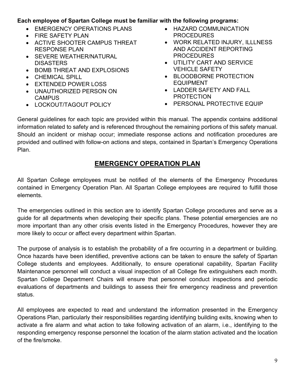#### **Each employee of Spartan College must be familiar with the following programs:**

- EMERGENCY OPERATIONS PLANS
- FIRE SAFETY PLAN
- ACTIVE SHOOTER CAMPUS THREAT RESPONSE PLAN
- SEVERE WEATHER/NATURAL **DISASTERS**
- BOMB THREAT AND EXPLOSIONS
- **CHEMICAL SPILL**
- EXTENDED POWER LOSS
- UNAUTHORIZED PERSON ON **CAMPUS**
- LOCKOUT/TAGOUT POLICY
- HAZARD COMMUNICATION PROCEDURES
- WORK RELATED INJURY, ILLLNESS AND ACCIDENT REPORTING **PROCEDURES**
- UTILITY CART AND SERVICE VEHICLE SAFETY
- BLOODBORNE PROTECTION EQUIPMENT
- LADDER SAFETY AND FALL PROTECTION
- PERSONAL PROTECTIVE EQUIP

General guidelines for each topic are provided within this manual. The appendix contains additional information related to safety and is referenced throughout the remaining portions of this safety manual. Should an incident or mishap occur; immediate response actions and notification procedures are provided and outlined with follow-on actions and steps, contained in Spartan's Emergency Operations Plan.

# **EMERGENCY OPERATION PLAN**

<span id="page-8-0"></span>All Spartan College employees must be notified of the elements of the Emergency Procedures contained in Emergency Operation Plan. All Spartan College employees are required to fulfill those elements.

The emergencies outlined in this section are to identify Spartan College procedures and serve as a guide for all departments when developing their specific plans. These potential emergencies are no more important than any other crisis events listed in the Emergency Procedures, however they are more likely to occur or affect every department within Spartan.

The purpose of analysis is to establish the probability of a fire occurring in a department or building. Once hazards have been identified, preventive actions can be taken to ensure the safety of Spartan College students and employees. Additionally, to ensure operational capability, Spartan Facility Maintenance personnel will conduct a visual inspection of all College fire extinguishers each month. Spartan College Department Chairs will ensure that personnel conduct inspections and periodic evaluations of departments and buildings to assess their fire emergency readiness and prevention status.

All employees are expected to read and understand the information presented in the Emergency Operations Plan, particularly their responsibilities regarding identifying building exits, knowing when to activate a fire alarm and what action to take following activation of an alarm, i.e., identifying to the responding emergency response personnel the location of the alarm station activated and the location of the fire/smoke.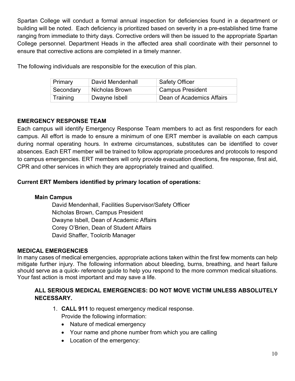Spartan College will conduct a formal annual inspection for deficiencies found in a department or building will be noted. Each deficiency is prioritized based on severity in a pre-established time frame ranging from immediate to thirty days. Corrective orders will then be issued to the appropriate Spartan College personnel. Department Heads in the affected area shall coordinate with their personnel to ensure that corrective actions are completed in a timely manner.

The following individuals are responsible for the execution of this plan.

| Primary   | David Mendenhall | <b>Safety Officer</b>         |
|-----------|------------------|-------------------------------|
| Secondary | Nicholas Brown   | <sup>'</sup> Campus President |
| Training  | Dwayne Isbell    | Dean of Academics Affairs     |

# <span id="page-9-0"></span>**EMERGENCY RESPONSE TEAM**

Each campus will identify Emergency Response Team members to act as first responders for each campus. All effort is made to ensure a minimum of one ERT member is available on each campus during normal operating hours. In extreme circumstances, substitutes can be identified to cover absences. Each ERT member will be trained to follow appropriate procedures and protocols to respond to campus emergencies. ERT members will only provide evacuation directions, fire response, first aid, CPR and other services in which they are appropriately trained and qualified.

# **Current ERT Members identified by primary location of operations:**

# **Main Campus**

David Mendenhall, Facilities Supervisor/Safety Officer Nicholas Brown, Campus President Dwayne Isbell, Dean of Academic Affairs Corey O'Brien, Dean of Student Affairs David Shaffer, Toolcrib Manager

# <span id="page-9-1"></span>**MEDICAL EMERGENCIES**

In many cases of medical emergencies, appropriate actions taken within the first few moments can help mitigate further injury. The following information about bleeding, burns, breathing, and heart failure should serve as a quick- reference guide to help you respond to the more common medical situations. Your fast action is most important and may save a life.

# **ALL SERIOUS MEDICAL EMERGENCIES: DO NOT MOVE VICTIM UNLESS ABSOLUTELY NECESSARY.**

- 1. **CALL 911** to request emergency medical response. Provide the following information:
	- Nature of medical emergency
	- Your name and phone number from which you are calling
	- Location of the emergency: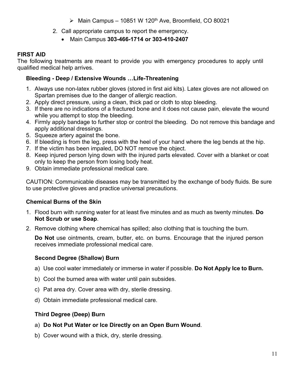- $\triangleright$  Main Campus 10851 W 120<sup>th</sup> Ave, Broomfield, CO 80021
- 2. Call appropriate campus to report the emergency.
	- Main Campus **303-466-1714 or 303-410-2407**

# <span id="page-10-0"></span>**FIRST AID**

The following treatments are meant to provide you with emergency procedures to apply until qualified medical help arrives.

# **Bleeding - Deep / Extensive Wounds …Life-Threatening**

- 1. Always use non-latex rubber gloves (stored in first aid kits). Latex gloves are not allowed on Spartan premises due to the danger of allergic reaction.
- 2. Apply direct pressure, using a clean, thick pad or cloth to stop bleeding.
- 3. If there are no indications of a fractured bone and it does not cause pain, elevate the wound while you attempt to stop the bleeding.
- 4. Firmly apply bandage to further stop or control the bleeding. Do not remove this bandage and apply additional dressings.
- 5. Squeeze artery against the bone.
- 6. If bleeding is from the leg, press with the heel of your hand where the leg bends at the hip.
- 7. If the victim has been impaled, DO NOT remove the object.
- 8. Keep injured person lying down with the injured parts elevated. Cover with a blanket or coat only to keep the person from losing body heat.
- 9. Obtain immediate professional medical care.

CAUTION: Communicable diseases may be transmitted by the exchange of body fluids. Be sure to use protective gloves and practice universal precautions.

# **Chemical Burns of the Skin**

- 1. Flood burn with running water for at least five minutes and as much as twenty minutes. **Do Not Scrub or use Soap**.
- 2. Remove clothing where chemical has spilled; also clothing that is touching the burn.

**Do Not** use ointments, cream, butter, etc. on burns. Encourage that the injured person receives immediate professional medical care.

# **Second Degree (Shallow) Burn**

- a) Use cool water immediately or immerse in water if possible. **Do Not Apply Ice to Burn.**
- b) Cool the burned area with water until pain subsides.
- c) Pat area dry. Cover area with dry, sterile dressing.
- d) Obtain immediate professional medical care.

# **Third Degree (Deep) Burn**

- a) **Do Not Put Water or Ice Directly on an Open Burn Wound**.
- b) Cover wound with a thick, dry, sterile dressing.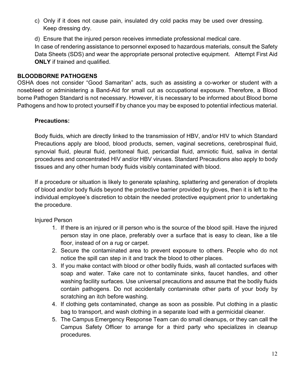- c) Only if it does not cause pain, insulated dry cold packs may be used over dressing. Keep dressing dry.
- d) Ensure that the injured person receives immediate professional medical care.

In case of rendering assistance to personnel exposed to hazardous materials, consult the Safety Data Sheets (SDS) and wear the appropriate personal protective equipment. Attempt First Aid **ONLY** if trained and qualified.

#### <span id="page-11-0"></span>**BLOODBORNE PATHOGENS**

OSHA does not consider "Good Samaritan" acts, such as assisting a co-worker or student with a nosebleed or administering a Band-Aid for small cut as occupational exposure. Therefore, a Blood borne Pathogen Standard is not necessary. However, it is necessary to be informed about Blood borne Pathogens and how to protect yourself if by chance you may be exposed to potential infectious material.

#### **Precautions:**

Body fluids, which are directly linked to the transmission of HBV, and/or HIV to which Standard Precautions apply are blood, blood products, semen, vaginal secretions, cerebrospinal fluid, synovial fluid, pleural fluid, peritoneal fluid, pericardial fluid, amniotic fluid, saliva in dental procedures and concentrated HIV and/or HBV viruses. Standard Precautions also apply to body tissues and any other human body fluids visibly contaminated with blood.

If a procedure or situation is likely to generate splashing, splattering and generation of droplets of blood and/or body fluids beyond the protective barrier provided by gloves, then it is left to the individual employee's discretion to obtain the needed protective equipment prior to undertaking the procedure.

Injured Person

- 1. If there is an injured or ill person who is the source of the blood spill. Have the injured person stay in one place, preferably over a surface that is easy to clean, like a tile floor, instead of on a rug or carpet.
- 2. Secure the contaminated area to prevent exposure to others. People who do not notice the spill can step in it and track the blood to other places.
- 3. If you make contact with blood or other bodily fluids, wash all contacted surfaces with soap and water. Take care not to contaminate sinks, faucet handles, and other washing facility surfaces. Use universal precautions and assume that the bodily fluids contain pathogens. Do not accidentally contaminate other parts of your body by scratching an itch before washing.
- 4. If clothing gets contaminated, change as soon as possible. Put clothing in a plastic bag to transport, and wash clothing in a separate load with a germicidal cleaner.
- 5. The Campus Emergency Response Team can do small cleanups, or they can call the Campus Safety Officer to arrange for a third party who specializes in cleanup procedures.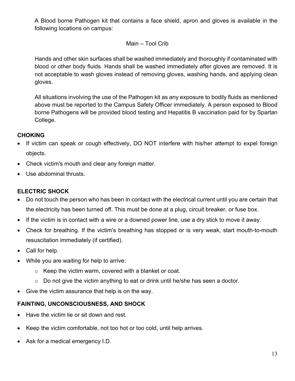A Blood borne Pathogen kit that contains a face shield, apron and gloves is available in the following locations on campus:

#### Main – Tool Crib

Hands and other skin surfaces shall be washed immediately and thoroughly if contaminated with blood or other body fluids. Hands shall be washed immediately after gloves are removed. It is not acceptable to wash gloves instead of removing gloves, washing hands, and applying clean gloves.

All situations involving the use of the Pathogen kit as any exposure to bodily fluids as mentioned above must be reported to the Campus Safety Officer immediately. A person exposed to Blood borne Pathogens will be provided blood testing and Hepatitis B vaccination paid for by Spartan College.

#### **CHOKING**

- If victim can speak or cough effectively, DO NOT interfere with his/her attempt to expel foreign objects.
- Check victim's mouth and clear any foreign matter.
- Use abdominal thrusts.

#### **ELECTRIC SHOCK**

- Do not touch the person who has been in contact with the electrical current until you are certain that the electricity has been turned off. This must be done at a plug, circuit breaker, or fuse box.
- If the victim is in contact with a wire or a downed power line, use a dry stick to move it away.
- Check for breathing. If the victim's breathing has stopped or is very weak, start mouth-to-mouth resuscitation immediately (if certified).
- Call for help.
- While you are waiting for help to arrive:
	- o Keep the victim warm, covered with a blanket or coat.
	- $\circ$  Do not give the victim anything to eat or drink until he/she has seen a doctor.
- Give the victim assurance that help is on the way.

# **FAINTING, UNCONSCIOUSNESS, AND SHOCK**

- Have the victim lie or sit down and rest.
- Keep the victim comfortable, not too hot or too cold, until help arrives.
- Ask for a medical emergency I.D.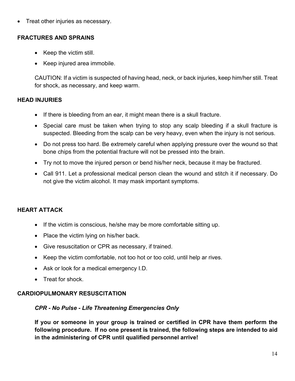Treat other injuries as necessary.

#### **FRACTURES AND SPRAINS**

- Keep the victim still.
- Keep injured area immobile.

CAUTION: If a victim is suspected of having head, neck, or back injuries, keep him/her still. Treat for shock, as necessary, and keep warm.

# **HEAD INJURIES**

- If there is bleeding from an ear, it might mean there is a skull fracture.
- Special care must be taken when trying to stop any scalp bleeding if a skull fracture is suspected. Bleeding from the scalp can be very heavy, even when the injury is not serious.
- Do not press too hard. Be extremely careful when applying pressure over the wound so that bone chips from the potential fracture will not be pressed into the brain.
- Try not to move the injured person or bend his/her neck, because it may be fractured.
- Call 911. Let a professional medical person clean the wound and stitch it if necessary. Do not give the victim alcohol. It may mask important symptoms.

# **HEART ATTACK**

- If the victim is conscious, he/she may be more comfortable sitting up.
- Place the victim lying on his/her back.
- Give resuscitation or CPR as necessary, if trained.
- Keep the victim comfortable, not too hot or too cold, until help ar rives.
- Ask or look for a medical emergency I.D.
- Treat for shock

#### <span id="page-13-0"></span>**CARDIOPULMONARY RESUSCITATION**

#### *CPR - No Pulse - Life Threatening Emergencies Only*

**If you or someone in your group is trained or certified in CPR have them perform the following procedure. If no one present is trained, the following steps are intended to aid in the administering of CPR until qualified personnel arrive!**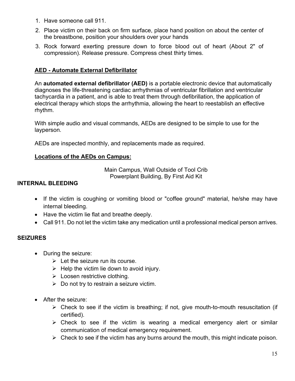- 1. Have someone call 911.
- 2. Place victim on their back on firm surface, place hand position on about the center of the breastbone, position your shoulders over your hands
- 3. Rock forward exerting pressure down to force blood out of heart (About 2" of compression). Release pressure. Compress chest thirty times.

#### **AED - Automate External Defibrillator**

An **automated external defibrillator (AED)** is a portable electronic device that automatically diagnoses the life-threatening cardiac arrhythmias of ventricular fibrillation and ventricular tachycardia in a patient, and is able to treat them through defibrillation, the application of electrical therapy which stops the arrhythmia, allowing the heart to reestablish an effective rhythm.

With simple audio and visual commands, AEDs are designed to be simple to use for the layperson.

AEDs are inspected monthly, and replacements made as required.

#### **Locations of the AEDs on Campus:**

Main Campus, Wall Outside of Tool Crib Powerplant Building, By First Aid Kit

#### **INTERNAL BLEEDING**

- If the victim is coughing or vomiting blood or "coffee ground" material, he/she may have internal bleeding.
- Have the victim lie flat and breathe deeply.
- Call 911. Do not let the victim take any medication until a professional medical person arrives.

#### **SEIZURES**

- During the seizure:
	- $\triangleright$  Let the seizure run its course.
	- $\triangleright$  Help the victim lie down to avoid injury.
	- $\triangleright$  Loosen restrictive clothing.
	- $\triangleright$  Do not try to restrain a seizure victim.
- After the seizure:
	- $\triangleright$  Check to see if the victim is breathing; if not, give mouth-to-mouth resuscitation (if certified).
	- $\triangleright$  Check to see if the victim is wearing a medical emergency alert or similar communication of medical emergency requirement.
	- $\triangleright$  Check to see if the victim has any burns around the mouth, this might indicate poison.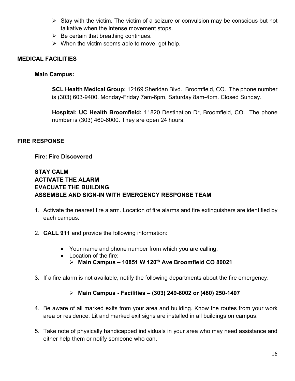- $\triangleright$  Stay with the victim. The victim of a seizure or convulsion may be conscious but not talkative when the intense movement stops.
- $\triangleright$  Be certain that breathing continues.
- $\triangleright$  When the victim seems able to move, get help.

#### <span id="page-15-0"></span>**MEDICAL FACILITIES**

#### **Main Campus:**

**SCL Health Medical Group:** 12169 Sheridan Blvd., Broomfield, CO. The phone number is (303) 603-9400. Monday-Friday 7am-6pm, Saturday 8am-4pm. Closed Sunday.

**Hospital: UC Health Broomfield:** 11820 Destination Dr, Broomfield, CO. The phone number is (303) 460-6000. They are open 24 hours.

#### <span id="page-15-1"></span>**FIRE RESPONSE**

#### **Fire: Fire Discovered**

#### **STAY CALM ACTIVATE THE ALARM EVACUATE THE BUILDING ASSEMBLE AND SIGN-IN WITH EMERGENCY RESPONSE TEAM**

- 1. Activate the nearest fire alarm. Location of fire alarms and fire extinguishers are identified by each campus.
- 2. **CALL 911** and provide the following information:
	- Your name and phone number from which you are calling.
	- Location of the fire: **Main Campus – 10851 W 120th Ave Broomfield CO 80021**
- 3. If a fire alarm is not available, notify the following departments about the fire emergency:

#### **Main Campus - Facilities – (303) 249-8002 or (480) 250-1407**

- 4. Be aware of all marked exits from your area and building. Know the routes from your work area or residence. Lit and marked exit signs are installed in all buildings on campus.
- 5. Take note of physically handicapped individuals in your area who may need assistance and either help them or notify someone who can.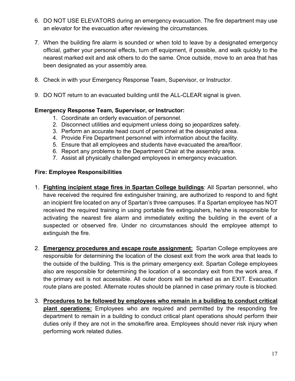- 6. DO NOT USE ELEVATORS during an emergency evacuation. The fire department may use an elevator for the evacuation after reviewing the circumstances.
- 7. When the building fire alarm is sounded or when told to leave by a designated emergency official, gather your personal effects, turn off equipment, if possible, and walk quickly to the nearest marked exit and ask others to do the same. Once outside, move to an area that has been designated as your assembly area.
- 8. Check in with your Emergency Response Team, Supervisor, or Instructor.
- 9. DO NOT return to an evacuated building until the ALL-CLEAR signal is given.

#### **Emergency Response Team, Supervisor, or Instructor:**

- 1. Coordinate an orderly evacuation of personnel.
- 2. Disconnect utilities and equipment unless doing so jeopardizes safety.
- 3. Perform an accurate head count of personnel at the designated area.
- 4. Provide Fire Department personnel with information about the facility.
- 5. Ensure that all employees and students have evacuated the area/floor.
- 6. Report any problems to the Department Chair at the assembly area.
- 7. Assist all physically challenged employees in emergency evacuation.

#### **Fire: Employee Responsibilities**

- 1. **Fighting incipient stage fires in Spartan College buildings**: All Spartan personnel, who have received the required fire extinguisher training, are authorized to respond to and fight an incipient fire located on any of Spartan's three campuses. If a Spartan employee has NOT received the required training in using portable fire extinguishers, he/she is responsible for activating the nearest fire alarm and immediately exiting the building in the event of a suspected or observed fire. Under no circumstances should the employee attempt to extinguish the fire.
- 2. **Emergency procedures and escape route assignment:** Spartan College employees are responsible for determining the location of the closest exit from the work area that leads to the outside of the building. This is the primary emergency exit. Spartan College employees also are responsible for determining the location of a secondary exit from the work area, if the primary exit is not accessible. All outer doors will be marked as an EXIT. Evacuation route plans are posted. Alternate routes should be planned in case primary route is blocked.
- 3. **Procedures to be followed by employees who remain in a building to conduct critical plant operations:** Employees who are required and permitted by the responding fire department to remain in a building to conduct critical plant operations should perform their duties only if they are not in the smoke/fire area. Employees should never risk injury when performing work related duties.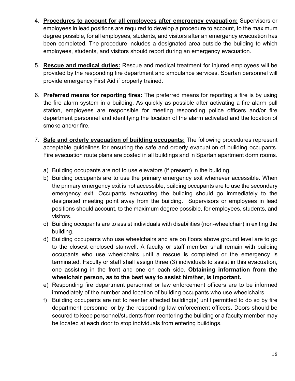- 4. **Procedures to account for all employees after emergency evacuation:** Supervisors or employees in lead positions are required to develop a procedure to account, to the maximum degree possible, for all employees, students, and visitors after an emergency evacuation has been completed. The procedure includes a designated area outside the building to which employees, students, and visitors should report during an emergency evacuation.
- 5. **Rescue and medical duties:** Rescue and medical treatment for injured employees will be provided by the responding fire department and ambulance services. Spartan personnel will provide emergency First Aid if properly trained.
- 6. **Preferred means for reporting fires:** The preferred means for reporting a fire is by using the fire alarm system in a building. As quickly as possible after activating a fire alarm pull station, employees are responsible for meeting responding police officers and/or fire department personnel and identifying the location of the alarm activated and the location of smoke and/or fire.
- 7. **Safe and orderly evacuation of building occupants:** The following procedures represent acceptable guidelines for ensuring the safe and orderly evacuation of building occupants. Fire evacuation route plans are posted in all buildings and in Spartan apartment dorm rooms.
	- a) Building occupants are not to use elevators (if present) in the building.
	- b) Building occupants are to use the primary emergency exit whenever accessible. When the primary emergency exit is not accessible, building occupants are to use the secondary emergency exit. Occupants evacuating the building should go immediately to the designated meeting point away from the building. Supervisors or employees in lead positions should account, to the maximum degree possible, for employees, students, and visitors.
	- c) Building occupants are to assist individuals with disabilities (non-wheelchair) in exiting the building.
	- d) Building occupants who use wheelchairs and are on floors above ground level are to go to the closest enclosed stairwell. A faculty or staff member shall remain with building occupants who use wheelchairs until a rescue is completed or the emergency is terminated. Faculty or staff shall assign three (3) individuals to assist in this evacuation, one assisting in the front and one on each side. **Obtaining information from the wheelchair person, as to the best way to assist him/her, is important.**
	- e) Responding fire department personnel or law enforcement officers are to be informed immediately of the number and location of building occupants who use wheelchairs.
	- f) Building occupants are not to reenter affected building(s) until permitted to do so by fire department personnel or by the responding law enforcement officers. Doors should be secured to keep personnel/students from reentering the building or a faculty member may be located at each door to stop individuals from entering buildings.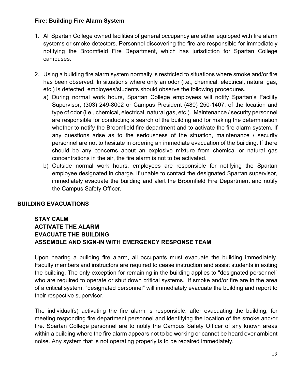#### **Fire: Building Fire Alarm System**

- 1. All Spartan College owned facilities of general occupancy are either equipped with fire alarm systems or smoke detectors. Personnel discovering the fire are responsible for immediately notifying the Broomfield Fire Department, which has jurisdiction for Spartan College campuses.
- 2. Using a building fire alarm system normally is restricted to situations where smoke and/or fire has been observed. In situations where only an odor (i.e., chemical, electrical, natural gas, etc.) is detected, employees/students should observe the following procedures.
	- a) During normal work hours, Spartan College employees will notify Spartan's Facility Supervisor, (303) 249-8002 or Campus President (480) 250-1407, of the location and type of odor (i.e., chemical, electrical, natural gas, etc.). Maintenance / security personnel are responsible for conducting a search of the building and for making the determination whether to notify the Broomfield fire department and to activate the fire alarm system. If any questions arise as to the seriousness of the situation, maintenance / security personnel are not to hesitate in ordering an immediate evacuation of the building. If there should be any concerns about an explosive mixture from chemical or natural gas concentrations in the air, the fire alarm is not to be activated.
	- b) Outside normal work hours, employees are responsible for notifying the Spartan employee designated in charge. If unable to contact the designated Spartan supervisor, immediately evacuate the building and alert the Broomfield Fire Department and notify the Campus Safety Officer.

#### **BUILDING EVACUATIONS**

#### **STAY CALM ACTIVATE THE ALARM EVACUATE THE BUILDING ASSEMBLE AND SIGN-IN WITH EMERGENCY RESPONSE TEAM**

Upon hearing a building fire alarm, all occupants must evacuate the building immediately. Faculty members and instructors are required to cease instruction and assist students in exiting the building. The only exception for remaining in the building applies to "designated personnel" who are required to operate or shut down critical systems. If smoke and/or fire are in the area of a critical system, "designated personnel" will immediately evacuate the building and report to their respective supervisor.

The individual(s) activating the fire alarm is responsible, after evacuating the building, for meeting responding fire department personnel and identifying the location of the smoke and/or fire. Spartan College personnel are to notify the Campus Safety Officer of any known areas within a building where the fire alarm appears not to be working or cannot be heard over ambient noise. Any system that is not operating properly is to be repaired immediately.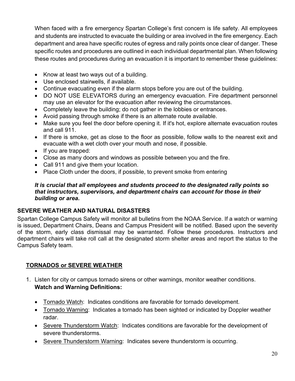When faced with a fire emergency Spartan College's first concern is life safety. All employees and students are instructed to evacuate the building or area involved in the fire emergency. Each department and area have specific routes of egress and rally points once clear of danger. These specific routes and procedures are outlined in each individual departmental plan. When following these routes and procedures during an evacuation it is important to remember these guidelines:

- Know at least two ways out of a building.
- Use enclosed stairwells, if available.
- Continue evacuating even if the alarm stops before you are out of the building.
- DO NOT USE ELEVATORS during an emergency evacuation. Fire department personnel may use an elevator for the evacuation after reviewing the circumstances.
- Completely leave the building; do not gather in the lobbies or entrances.
- Avoid passing through smoke if there is an alternate route available.
- Make sure you feel the door before opening it. If it's hot, explore alternate evacuation routes and call 911.
- If there is smoke, get as close to the floor as possible, follow walls to the nearest exit and evacuate with a wet cloth over your mouth and nose, if possible.
- If you are trapped:
- Close as many doors and windows as possible between you and the fire.
- Call 911 and give them your location.
- Place Cloth under the doors, if possible, to prevent smoke from entering

#### *It is crucial that all employees and students proceed to the designated rally points so that instructors, supervisors, and department chairs can account for those in their building or area.*

#### <span id="page-19-0"></span>**SEVERE WEATHER AND NATURAL DISASTERS**

Spartan College Campus Safety will monitor all bulletins from the NOAA Service. If a watch or warning is issued, Department Chairs, Deans and Campus President will be notified. Based upon the severity of the storm, early class dismissal may be warranted. Follow these procedures. Instructors and department chairs will take roll call at the designated storm shelter areas and report the status to the Campus Safety team.

# **TORNADOS or SEVERE WEATHER**

- 1. Listen for city or campus tornado sirens or other warnings, monitor weather conditions. **Watch and Warning Definitions:**
	- Tornado Watch: Indicates conditions are favorable for tornado development.
	- Tornado Warning: Indicates a tornado has been sighted or indicated by Doppler weather radar.
	- Severe Thunderstorm Watch: Indicates conditions are favorable for the development of severe thunderstorms.
	- Severe Thunderstorm Warning: Indicates severe thunderstorm is occurring.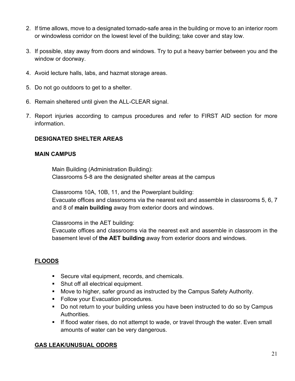- 2. If time allows, move to a designated tornado-safe area in the building or move to an interior room or windowless corridor on the lowest level of the building; take cover and stay low.
- 3. If possible, stay away from doors and windows. Try to put a heavy barrier between you and the window or doorway.
- 4. Avoid lecture halls, labs, and hazmat storage areas.
- 5. Do not go outdoors to get to a shelter.
- 6. Remain sheltered until given the ALL-CLEAR signal.
- 7. Report injuries according to campus procedures and refer to FIRST AID section for more information.

#### **DESIGNATED SHELTER AREAS**

#### **MAIN CAMPUS**

Main Building (Administration Building): Classrooms 5-8 are the designated shelter areas at the campus

Classrooms 10A, 10B, 11, and the Powerplant building:

Evacuate offices and classrooms via the nearest exit and assemble in classrooms 5, 6, 7 and 8 of **main building** away from exterior doors and windows.

Classrooms in the AET building:

Evacuate offices and classrooms via the nearest exit and assemble in classroom in the basement level of **the AET building** away from exterior doors and windows.

# **FLOODS**

- **Secure vital equipment, records, and chemicals.**
- **Shut off all electrical equipment.**
- **Move to higher, safer ground as instructed by the Campus Safety Authority.**
- **Follow your Evacuation procedures.**
- **Do not return to your building unless you have been instructed to do so by Campus** Authorities.
- **If flood water rises, do not attempt to wade, or travel through the water. Even small** amounts of water can be very dangerous.

#### **GAS LEAK/UNUSUAL ODORS**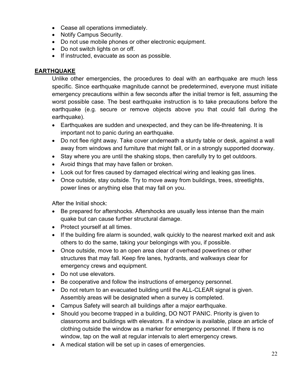- Cease all operations immediately.
- Notify Campus Security.
- Do not use mobile phones or other electronic equipment.
- Do not switch lights on or off.
- If instructed, evacuate as soon as possible.

#### **EARTHQUAKE**

Unlike other emergencies, the procedures to deal with an earthquake are much less specific. Since earthquake magnitude cannot be predetermined, everyone must initiate emergency precautions within a few seconds after the initial tremor is felt, assuming the worst possible case. The best earthquake instruction is to take precautions before the earthquake (e.g. secure or remove objects above you that could fall during the earthquake).

- Earthquakes are sudden and unexpected, and they can be life-threatening. It is important not to panic during an earthquake.
- Do not flee right away. Take cover underneath a sturdy table or desk, against a wall away from windows and furniture that might fall, or in a strongly supported doorway.
- Stay where you are until the shaking stops, then carefully try to get outdoors.
- Avoid things that may have fallen or broken.
- Look out for fires caused by damaged electrical wiring and leaking gas lines.
- Once outside, stay outside. Try to move away from buildings, trees, streetlights, power lines or anything else that may fall on you.

After the Initial shock:

- Be prepared for aftershocks. Aftershocks are usually less intense than the main quake but can cause further structural damage.
- Protect yourself at all times.
- If the building fire alarm is sounded, walk quickly to the nearest marked exit and ask others to do the same, taking your belongings with you, if possible.
- Once outside, move to an open area clear of overhead powerlines or other structures that may fall. Keep fire lanes, hydrants, and walkways clear for emergency crews and equipment.
- Do not use elevators.
- Be cooperative and follow the instructions of emergency personnel.
- Do not return to an evacuated building until the ALL-CLEAR signal is given. Assembly areas will be designated when a survey is completed.
- Campus Safety will search all buildings after a major earthquake.
- Should you become trapped in a building, DO NOT PANIC. Priority is given to classrooms and buildings with elevators. If a window is available, place an article of clothing outside the window as a marker for emergency personnel. If there is no window, tap on the wall at regular intervals to alert emergency crews.
- A medical station will be set up in cases of emergencies.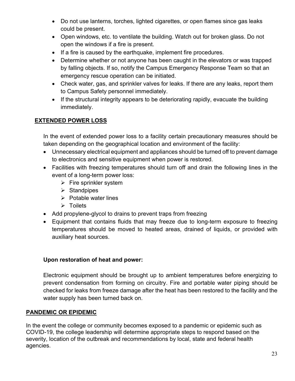- Do not use lanterns, torches, lighted cigarettes, or open flames since gas leaks could be present.
- Open windows, etc. to ventilate the building. Watch out for broken glass. Do not open the windows if a fire is present.
- If a fire is caused by the earthquake, implement fire procedures.
- Determine whether or not anyone has been caught in the elevators or was trapped by falling objects. If so, notify the Campus Emergency Response Team so that an emergency rescue operation can be initiated.
- Check water, gas, and sprinkler valves for leaks. If there are any leaks, report them to Campus Safety personnel immediately.
- If the structural integrity appears to be deteriorating rapidly, evacuate the building immediately.

# **EXTENDED POWER LOSS**

In the event of extended power loss to a facility certain precautionary measures should be taken depending on the geographical location and environment of the facility:

- Unnecessary electrical equipment and appliances should be turned off to prevent damage to electronics and sensitive equipment when power is restored.
- Facilities with freezing temperatures should turn off and drain the following lines in the event of a long-term power loss:
	- $\triangleright$  Fire sprinkler system
	- $\triangleright$  Standpipes
	- $\triangleright$  Potable water lines
	- $\triangleright$  Toilets
- Add propylene-glycol to drains to prevent traps from freezing
- Equipment that contains fluids that may freeze due to long-term exposure to freezing temperatures should be moved to heated areas, drained of liquids, or provided with auxiliary heat sources.

# **Upon restoration of heat and power:**

Electronic equipment should be brought up to ambient temperatures before energizing to prevent condensation from forming on circuitry. Fire and portable water piping should be checked for leaks from freeze damage after the heat has been restored to the facility and the water supply has been turned back on.

# <span id="page-22-0"></span>**PANDEMIC OR EPIDEMIC**

In the event the college or community becomes exposed to a pandemic or epidemic such as COVID-19, the college leadership will determine appropriate steps to respond based on the severity, location of the outbreak and recommendations by local, state and federal health agencies.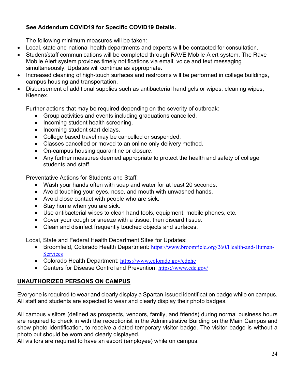# **See Addendum COVID19 for Specific COVID19 Details.**

The following minimum measures will be taken:

- Local, state and national health departments and experts will be contacted for consultation.
- Student/staff communications will be completed through RAVE Mobile Alert system. The Rave Mobile Alert system provides timely notifications via email, voice and text messaging simultaneously. Updates will continue as appropriate.
- Increased cleaning of high-touch surfaces and restrooms will be performed in college buildings, campus housing and transportation.
- Disbursement of additional supplies such as antibacterial hand gels or wipes, cleaning wipes, Kleenex.

Further actions that may be required depending on the severity of outbreak:

- Group activities and events including graduations cancelled.
- Incoming student health screening.
- Incoming student start delays.
- College based travel may be cancelled or suspended.
- Classes cancelled or moved to an online only delivery method.
- On-campus housing quarantine or closure.
- Any further measures deemed appropriate to protect the health and safety of college students and staff.

Preventative Actions for Students and Staff:

- Wash your hands often with soap and water for at least 20 seconds.
- Avoid touching your eyes, nose, and mouth with unwashed hands.
- Avoid close contact with people who are sick.
- Stay home when you are sick.
- Use antibacterial wipes to clean hand tools, equipment, mobile phones, etc.
- Cover your cough or sneeze with a tissue, then discard tissue.
- Clean and disinfect frequently touched objects and surfaces.

Local, State and Federal Health Department Sites for Updates:

- Broomfield, Colorado Health Department: [https://www.broomfield.org/260/Health-and-Human-](https://www.broomfield.org/260/Health-and-Human-Services)**[Services](https://www.broomfield.org/260/Health-and-Human-Services)**
- Colorado Health Department: <https://www.colorado.gov/cdphe>
- Centers for Disease Control and Prevention: <https://www.cdc.gov/>

# <span id="page-23-0"></span>**UNAUTHORIZED PERSONS ON CAMPUS**

Everyone is required to wear and clearly display a Spartan-issued identification badge while on campus. All staff and students are expected to wear and clearly display their photo badges.

All campus visitors (defined as prospects, vendors, family, and friends) during normal business hours are required to check in with the receptionist in the Administrative Building on the Main Campus and show photo identification, to receive a dated temporary visitor badge. The visitor badge is without a photo but should be worn and clearly displayed.

All visitors are required to have an escort (employee) while on campus.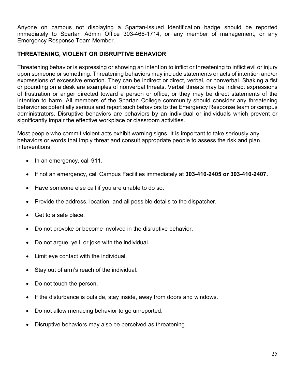Anyone on campus not displaying a Spartan-issued identification badge should be reported immediately to Spartan Admin Office 303-466-1714, or any member of management, or any Emergency Response Team Member.

#### <span id="page-24-0"></span>**THREATENING, VIOLENT OR DISRUPTIVE BEHAVIOR**

Threatening behavior is expressing or showing an intention to inflict or threatening to inflict evil or injury upon someone or something. Threatening behaviors may include statements or acts of intention and/or expressions of excessive emotion. They can be indirect or direct, verbal, or nonverbal. Shaking a fist or pounding on a desk are examples of nonverbal threats. Verbal threats may be indirect expressions of frustration or anger directed toward a person or office, or they may be direct statements of the intention to harm. All members of the Spartan College community should consider any threatening behavior as potentially serious and report such behaviors to the Emergency Response team or campus administrators. Disruptive behaviors are behaviors by an individual or individuals which prevent or significantly impair the effective workplace or classroom activities.

Most people who commit violent acts exhibit warning signs. It is important to take seriously any behaviors or words that imply threat and consult appropriate people to assess the risk and plan interventions.

- In an emergency, call 911.
- If not an emergency, call Campus Facilities immediately at **303-410-2405 or 303-410-2407.**
- Have someone else call if you are unable to do so.
- Provide the address, location, and all possible details to the dispatcher.
- Get to a safe place.
- Do not provoke or become involved in the disruptive behavior.
- Do not argue, yell, or joke with the individual.
- Limit eye contact with the individual.
- Stay out of arm's reach of the individual.
- Do not touch the person.
- If the disturbance is outside, stay inside, away from doors and windows.
- Do not allow menacing behavior to go unreported.
- Disruptive behaviors may also be perceived as threatening.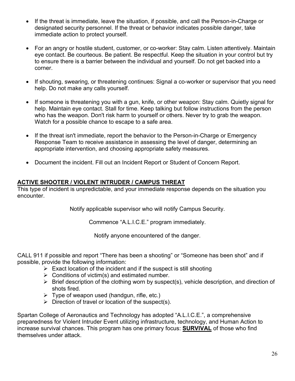- If the threat is immediate, leave the situation, if possible, and call the Person-in-Charge or designated security personnel. If the threat or behavior indicates possible danger, take immediate action to protect yourself.
- For an angry or hostile student, customer, or co-worker: Stay calm. Listen attentively. Maintain eye contact. Be courteous. Be patient. Be respectful. Keep the situation in your control but try to ensure there is a barrier between the individual and yourself. Do not get backed into a corner.
- If shouting, swearing, or threatening continues: Signal a co-worker or supervisor that you need help. Do not make any calls yourself.
- If someone is threatening you with a gun, knife, or other weapon: Stay calm. Quietly signal for help. Maintain eye contact. Stall for time. Keep talking but follow instructions from the person who has the weapon. Don't risk harm to yourself or others. Never try to grab the weapon. Watch for a possible chance to escape to a safe area.
- If the threat isn't immediate, report the behavior to the Person-in-Charge or Emergency Response Team to receive assistance in assessing the level of danger, determining an appropriate intervention, and choosing appropriate safety measures.
- Document the incident. Fill out an Incident Report or Student of Concern Report.

#### <span id="page-25-0"></span>**ACTIVE SHOOTER / VIOLENT INTRUDER / CAMPUS THREAT**

This type of incident is unpredictable, and your immediate response depends on the situation you encounter.

Notify applicable supervisor who will notify Campus Security.

Commence "A.L.I.C.E." program immediately.

Notify anyone encountered of the danger.

CALL 911 if possible and report "There has been a shooting" or "Someone has been shot" and if possible, provide the following information:

- $\triangleright$  Exact location of the incident and if the suspect is still shooting
- $\triangleright$  Conditions of victim(s) and estimated number.
- $\triangleright$  Brief description of the clothing worn by suspect(s), vehicle description, and direction of shots fired.
- $\triangleright$  Type of weapon used (handgun, rifle, etc.)
- $\triangleright$  Direction of travel or location of the suspect(s).

Spartan College of Aeronautics and Technology has adopted "A.L.I.C.E.", a comprehensive preparedness for Violent Intruder Event utilizing infrastructure, technology, and Human Action to increase survival chances. This program has one primary focus: **SURVIVAL** of those who find themselves under attack.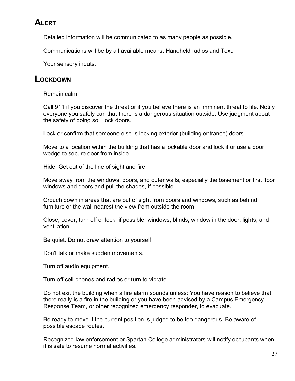# **ALERT**

Detailed information will be communicated to as many people as possible.

Communications will be by all available means: Handheld radios and Text.

Your sensory inputs.

# **LOCKDOWN**

Remain calm.

Call 911 if you discover the threat or if you believe there is an imminent threat to life. Notify everyone you safely can that there is a dangerous situation outside. Use judgment about the safety of doing so. Lock doors.

Lock or confirm that someone else is locking exterior (building entrance) doors.

Move to a location within the building that has a lockable door and lock it or use a door wedge to secure door from inside.

Hide. Get out of the line of sight and fire.

Move away from the windows, doors, and outer walls, especially the basement or first floor windows and doors and pull the shades, if possible.

Crouch down in areas that are out of sight from doors and windows, such as behind furniture or the wall nearest the view from outside the room.

Close, cover, turn off or lock, if possible, windows, blinds, window in the door, lights, and ventilation.

Be quiet. Do not draw attention to yourself.

Don't talk or make sudden movements.

Turn off audio equipment.

Turn off cell phones and radios or turn to vibrate.

Do not exit the building when a fire alarm sounds unless: You have reason to believe that there really is a fire in the building or you have been advised by a Campus Emergency Response Team, or other recognized emergency responder, to evacuate.

Be ready to move if the current position is judged to be too dangerous. Be aware of possible escape routes.

Recognized law enforcement or Spartan College administrators will notify occupants when it is safe to resume normal activities.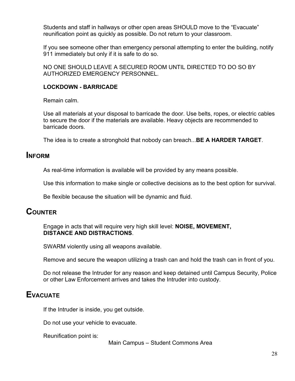Students and staff in hallways or other open areas SHOULD move to the "Evacuate" reunification point as quickly as possible. Do not return to your classroom.

If you see someone other than emergency personal attempting to enter the building, notify 911 immediately but only if it is safe to do so.

NO ONE SHOULD LEAVE A SECURED ROOM UNTIL DIRECTED TO DO SO BY AUTHORIZED EMERGENCY PERSONNEL.

#### **LOCKDOWN - BARRICADE**

Remain calm.

Use all materials at your disposal to barricade the door. Use belts, ropes, or electric cables to secure the door if the materials are available. Heavy objects are recommended to barricade doors.

The idea is to create a stronghold that nobody can breach...**BE A HARDER TARGET**.

# **INFORM**

As real-time information is available will be provided by any means possible.

Use this information to make single or collective decisions as to the best option for survival.

Be flexible because the situation will be dynamic and fluid.

# **COUNTER**

Engage in acts that will require very high skill level: **NOISE, MOVEMENT, DISTANCE AND DISTRACTIONS**.

SWARM violently using all weapons available.

Remove and secure the weapon utilizing a trash can and hold the trash can in front of you.

Do not release the Intruder for any reason and keep detained until Campus Security, Police or other Law Enforcement arrives and takes the Intruder into custody.

# **EVACUATE**

If the Intruder is inside, you get outside.

Do not use your vehicle to evacuate.

Reunification point is:

Main Campus – Student Commons Area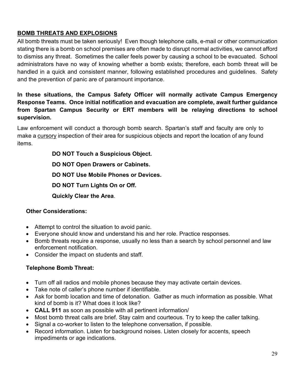# <span id="page-28-0"></span>**BOMB THREATS AND EXPLOSIONS**

All bomb threats must be taken seriously! Even though telephone calls, e-mail or other communication stating there is a bomb on school premises are often made to disrupt normal activities, we cannot afford to dismiss any threat. Sometimes the caller feels power by causing a school to be evacuated. School administrators have no way of knowing whether a bomb exists; therefore, each bomb threat will be handled in a quick and consistent manner, following established procedures and guidelines. Safety and the prevention of panic are of paramount importance.

**In these situations, the Campus Safety Officer will normally activate Campus Emergency Response Teams. Once initial notification and evacuation are complete, await further guidance from Spartan Campus Security or ERT members will be relaying directions to school supervision.**

Law enforcement will conduct a thorough bomb search. Spartan's staff and faculty are only to make a cursory inspection of their area for suspicious objects and report the location of any found items.

> **DO NOT Touch a Suspicious Object. DO NOT Open Drawers or Cabinets. DO NOT Use Mobile Phones or Devices. DO NOT Turn Lights On or Off. Quickly Clear the Area**.

# **Other Considerations:**

- Attempt to control the situation to avoid panic.
- Everyone should know and understand his and her role. Practice responses.
- Bomb threats require a response, usually no less than a search by school personnel and law enforcement notification.
- Consider the impact on students and staff.

# **Telephone Bomb Threat:**

- Turn off all radios and mobile phones because they may activate certain devices.
- Take note of caller's phone number if identifiable.
- Ask for bomb location and time of detonation. Gather as much information as possible. What kind of bomb is it? What does it look like?
- **CALL 911** as soon as possible with all pertinent information/
- Most bomb threat calls are brief. Stay calm and courteous. Try to keep the caller talking.
- Signal a co-worker to listen to the telephone conversation, if possible.
- Record information. Listen for background noises. Listen closely for accents, speech impediments or age indications.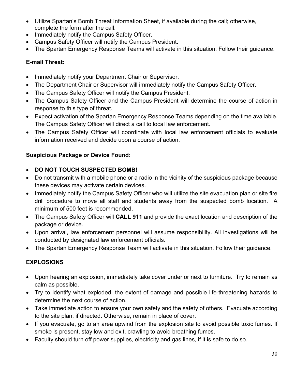- Utilize Spartan's Bomb Threat Information Sheet, if available during the call; otherwise, complete the form after the call.
- Immediately notify the Campus Safety Officer.
- Campus Safety Officer will notify the Campus President.
- The Spartan Emergency Response Teams will activate in this situation. Follow their guidance.

# **E-mail Threat:**

- Immediately notify your Department Chair or Supervisor.
- The Department Chair or Supervisor will immediately notify the Campus Safety Officer.
- The Campus Safety Officer will notify the Campus President.
- The Campus Safety Officer and the Campus President will determine the course of action in response to this type of threat.
- Expect activation of the Spartan Emergency Response Teams depending on the time available. The Campus Safety Officer will direct a call to local law enforcement.
- The Campus Safety Officer will coordinate with local law enforcement officials to evaluate information received and decide upon a course of action.

# **Suspicious Package or Device Found:**

# • **DO NOT TOUCH SUSPECTED BOMB!**

- Do not transmit with a mobile phone or a radio in the vicinity of the suspicious package because these devices may activate certain devices.
- Immediately notify the Campus Safety Officer who will utilize the site evacuation plan or site fire drill procedure to move all staff and students away from the suspected bomb location. A minimum of 500 feet is recommended.
- The Campus Safety Officer will **CALL 911** and provide the exact location and description of the package or device.
- Upon arrival, law enforcement personnel will assume responsibility. All investigations will be conducted by designated law enforcement officials.
- The Spartan Emergency Response Team will activate in this situation. Follow their guidance.

# **EXPLOSIONS**

- Upon hearing an explosion, immediately take cover under or next to furniture. Try to remain as calm as possible.
- Try to identify what exploded, the extent of damage and possible life-threatening hazards to determine the next course of action.
- Take immediate action to ensure your own safety and the safety of others. Evacuate according to the site plan, if directed. Otherwise, remain in place of cover.
- If you evacuate, go to an area upwind from the explosion site to avoid possible toxic fumes. If smoke is present, stay low and exit, crawling to avoid breathing fumes.
- Faculty should turn off power supplies, electricity and gas lines, if it is safe to do so.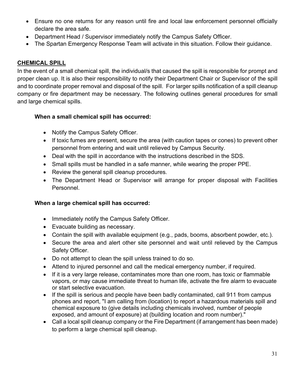- Ensure no one returns for any reason until fire and local law enforcement personnel officially declare the area safe.
- Department Head / Supervisor immediately notify the Campus Safety Officer.
- The Spartan Emergency Response Team will activate in this situation. Follow their guidance.

#### <span id="page-30-0"></span>**CHEMICAL SPILL**

In the event of a small chemical spill, the individual/s that caused the spill is responsible for prompt and proper clean up. It is also their responsibility to notify their Department Chair or Supervisor of the spill and to coordinate proper removal and disposal of the spill. For larger spills notification of a spill cleanup company or fire department may be necessary. The following outlines general procedures for small and large chemical spills.

#### **When a small chemical spill has occurred:**

- Notify the Campus Safety Officer.
- If toxic fumes are present, secure the area (with caution tapes or cones) to prevent other personnel from entering and wait until relieved by Campus Security.
- Deal with the spill in accordance with the instructions described in the SDS.
- Small spills must be handled in a safe manner, while wearing the proper PPE.
- Review the general spill cleanup procedures.
- The Department Head or Supervisor will arrange for proper disposal with Facilities Personnel.

#### **When a large chemical spill has occurred:**

- Immediately notify the Campus Safety Officer.
- Evacuate building as necessary.
- Contain the spill with available equipment (e.g., pads, booms, absorbent powder, etc.).
- Secure the area and alert other site personnel and wait until relieved by the Campus Safety Officer.
- Do not attempt to clean the spill unless trained to do so.
- Attend to injured personnel and call the medical emergency number, if required.
- If it is a very large release, contaminates more than one room, has toxic or flammable vapors, or may cause immediate threat to human life, activate the fire alarm to evacuate or start selective evacuation.
- If the spill is serious and people have been badly contaminated, call 911 from campus phones and report, "I am calling from (location) to report a hazardous materials spill and chemical exposure to (give details including chemicals involved, number of people exposed, and amount of exposure) at (building location and room number)."
- Call a local spill cleanup company or the Fire Department (if arrangement has been made) to perform a large chemical spill cleanup.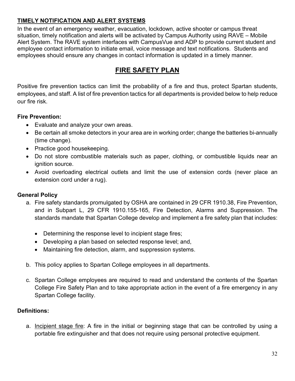# <span id="page-31-0"></span>**TIMELY NOTIFICATION AND ALERT SYSTEMS**

In the event of an emergency weather, evacuation, lockdown, active shooter or campus threat situation, timely notification and alerts will be activated by Campus Authority using RAVE – Mobile Alert System. The RAVE system interfaces with CampusVue and ADP to provide current student and employee contact information to initiate email, voice message and text notifications. Students and employees should ensure any changes in contact information is updated in a timely manner.

# **FIRE SAFETY PLAN**

<span id="page-31-1"></span>Positive fire prevention tactics can limit the probability of a fire and thus, protect Spartan students, employees, and staff. A list of fire prevention tactics for all departments is provided below to help reduce our fire risk.

# **Fire Prevention:**

- Evaluate and analyze your own areas.
- Be certain all smoke detectors in your area are in working order; change the batteries bi-annually (time change).
- Practice good housekeeping.
- Do not store combustible materials such as paper, clothing, or combustible liquids near an ignition source.
- Avoid overloading electrical outlets and limit the use of extension cords (never place an extension cord under a rug).

# **General Policy**

- a. Fire safety standards promulgated by OSHA are contained in 29 CFR 1910.38, Fire Prevention, and in Subpart L, 29 CFR 1910.155-165, Fire Detection, Alarms and Suppression. The standards mandate that Spartan College develop and implement a fire safety plan that includes:
	- Determining the response level to incipient stage fires;
	- Developing a plan based on selected response level; and,
	- Maintaining fire detection, alarm, and suppression systems.
- b. This policy applies to Spartan College employees in all departments.
- c. Spartan College employees are required to read and understand the contents of the Spartan College Fire Safety Plan and to take appropriate action in the event of a fire emergency in any Spartan College facility.

#### **Definitions:**

a. Incipient stage fire: A fire in the initial or beginning stage that can be controlled by using a portable fire extinguisher and that does not require using personal protective equipment.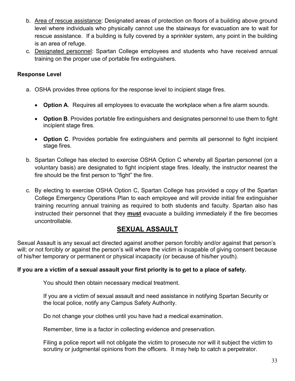- b. Area of rescue assistance: Designated areas of protection on floors of a building above ground level where individuals who physically cannot use the stairways for evacuation are to wait for rescue assistance. If a building is fully covered by a sprinkler system, any point in the building is an area of refuge.
- c. Designated personnel: Spartan College employees and students who have received annual training on the proper use of portable fire extinguishers.

#### **Response Level**

- a. OSHA provides three options for the response level to incipient stage fires.
	- **Option A**. Requires all employees to evacuate the workplace when a fire alarm sounds.
	- **Option B**. Provides portable fire extinguishers and designates personnel to use them to fight incipient stage fires.
	- **Option C**. Provides portable fire extinguishers and permits all personnel to fight incipient stage fires.
- b. Spartan College has elected to exercise OSHA Option C whereby all Spartan personnel (on a voluntary basis) are designated to fight incipient stage fires. Ideally, the instructor nearest the fire should be the first person to "fight" the fire.
- c. By electing to exercise OSHA Option C, Spartan College has provided a copy of the Spartan College Emergency Operations Plan to each employee and will provide initial fire extinguisher training recurring annual training as required to both students and faculty. Spartan also has instructed their personnel that they **must** evacuate a building immediately if the fire becomes uncontrollable.

# **SEXUAL ASSAULT**

<span id="page-32-0"></span>Sexual Assault is any sexual act directed against another person forcibly and/or against that person's will; or not forcibly or against the person's will where the victim is incapable of giving consent because of his/her temporary or permanent or physical incapacity (or because of his/her youth).

#### **If you are a victim of a sexual assault your first priority is to get to a place of safety.**

You should then obtain necessary medical treatment.

If you are a victim of sexual assault and need assistance in notifying Spartan Security or the local police, notify any Campus Safety Authority.

Do not change your clothes until you have had a medical examination.

Remember, time is a factor in collecting evidence and preservation.

Filing a police report will not obligate the victim to prosecute nor will it subject the victim to scrutiny or judgmental opinions from the officers. It may help to catch a perpetrator.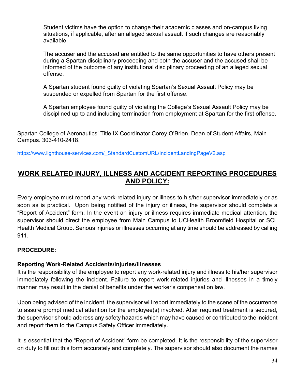Student victims have the option to change their academic classes and on-campus living situations, if applicable, after an alleged sexual assault if such changes are reasonably available.

The accuser and the accused are entitled to the same opportunities to have others present during a Spartan disciplinary proceeding and both the accuser and the accused shall be informed of the outcome of any institutional disciplinary proceeding of an alleged sexual offense.

A Spartan student found guilty of violating Spartan's Sexual Assault Policy may be suspended or expelled from Spartan for the first offense.

A Spartan employee found guilty of violating the College's Sexual Assault Policy may be disciplined up to and including termination from employment at Spartan for the first offense.

Spartan College of Aeronautics' Title IX Coordinator Corey O'Brien, Dean of Student Affairs, Main Campus. 303-410-2418.

https://www.lighthouse-services.com/ StandardCustomURL/IncidentLandingPageV2.asp

# <span id="page-33-0"></span>**WORK RELATED INJURY, ILLNESS AND ACCIDENT REPORTING PROCEDURES AND POLICY:**

Every employee must report any work-related injury or illness to his/her supervisor immediately or as soon as is practical. Upon being notified of the injury or illness, the supervisor should complete a "Report of Accident" form. In the event an injury or illness requires immediate medical attention, the supervisor should direct the employee from Main Campus to UCHealth Broomfield Hospital or SCL Health Medical Group. Serious injuries or illnesses occurring at any time should be addressed by calling 911.

#### **PROCEDURE:**

#### **Reporting Work-Related Accidents/injuries/illnesses**

It is the responsibility of the employee to report any work-related injury and illness to his/her supervisor immediately following the incident. Failure to report work-related injuries and illnesses in a timely manner may result in the denial of benefits under the worker's compensation law.

Upon being advised of the incident, the supervisor will report immediately to the scene of the occurrence to assure prompt medical attention for the employee(s) involved. After required treatment is secured, the supervisor should address any safety hazards which may have caused or contributed to the incident and report them to the Campus Safety Officer immediately.

It is essential that the "Report of Accident" form be completed. It is the responsibility of the supervisor on duty to fill out this form accurately and completely. The supervisor should also document the names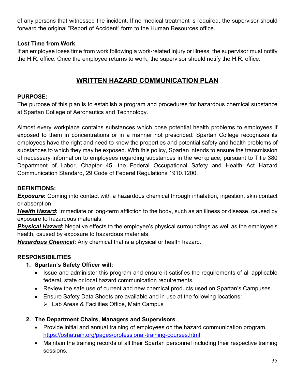of any persons that witnessed the incident. If no medical treatment is required, the supervisor should forward the original "Report of Accident" form to the Human Resources office.

#### **Lost Time from Work**

<span id="page-34-0"></span>If an employee loses time from work following a work-related injury or illness, the supervisor must notify the H.R. office. Once the employee returns to work, the supervisor should notify the H.R. office.

# **WRITTEN HAZARD COMMUNICATION PLAN**

#### **PURPOSE:**

The purpose of this plan is to establish a program and procedures for hazardous chemical substance at Spartan College of Aeronautics and Technology.

Almost every workplace contains substances which pose potential health problems to employees if exposed to them in concentrations or in a manner not prescribed. Spartan College recognizes its employees have the right and need to know the properties and potential safety and health problems of substances to which they may be exposed. With this policy, Spartan intends to ensure the transmission of necessary information to employees regarding substances in the workplace, pursuant to Title 380 Department of Labor, Chapter 45, the Federal Occupational Safety and Health Act Hazard Communication Standard, 29 Code of Federal Regulations 1910.1200.

#### **DEFINITIONS:**

*Exposure:* Coming into contact with a hazardous chemical through inhalation, ingestion, skin contact or absorption.

*Health Hazard***:** Immediate or long-term affliction to the body, such as an illness or disease, caused by exposure to hazardous materials.

*Physical Hazard***:** Negative effects to the employee's physical surroundings as well as the employee's health, caused by exposure to hazardous materials.

*Hazardous Chemical***:** Any chemical that is a physical or health hazard.

#### **RESPONSIBILITIES**

# **1. Spartan's Safety Officer will:**

- Issue and administer this program and ensure it satisfies the requirements of all applicable federal, state or local hazard communication requirements.
- Review the safe use of current and new chemical products used on Spartan's Campuses.
- Ensure Safety Data Sheets are available and in use at the following locations:
	- $\triangleright$  Lab Areas & Facilities Office, Main Campus

# **2. The Department Chairs, Managers and Supervisors**

- Provide initial and annual training of employees on the hazard communication program. https://oshatrain.org/pages/professional-training-courses.html
- Maintain the training records of all their Spartan personnel including their respective training sessions.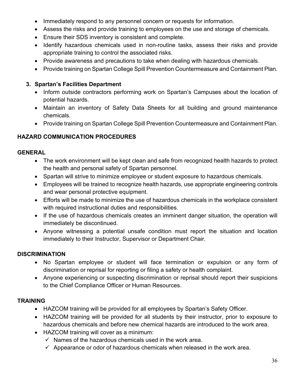- Immediately respond to any personnel concern or requests for information.
- Assess the risks and provide training to employees on the use and storage of chemicals.
- Ensure their SDS inventory is consistent and complete.
- Identify hazardous chemicals used in non-routine tasks, assess their risks and provide appropriate training to control the associated risks.
- Provide awareness and precautions to take when dealing with hazardous chemicals.
- Provide training on Spartan College Spill Prevention Countermeasure and Containment Plan.

#### **3. Spartan's Facilities Department**

- Inform outside contractors performing work on Spartan's Campuses about the location of potential hazards.
- Maintain an inventory of Safety Data Sheets for all building and ground maintenance chemicals.
- Provide training on Spartan College Spill Prevention Countermeasure and Containment Plan.

# **HAZARD COMMUNICATION PROCEDURES**

#### **GENERAL**

- The work environment will be kept clean and safe from recognized health hazards to protect the health and personal safety of Spartan personnel.
- Spartan will strive to minimize employee or student exposure to hazardous chemicals.
- Employees will be trained to recognize health hazards, use appropriate engineering controls and wear personal protective equipment.
- Efforts will be made to minimize the use of hazardous chemicals in the workplace consistent with required instructional duties and responsibilities.
- If the use of hazardous chemicals creates an imminent danger situation, the operation will immediately be discontinued.
- Anyone witnessing a potential unsafe condition must report the situation and location immediately to their Instructor, Supervisor or Department Chair.

#### **DISCRIMINATION**

- No Spartan employee or student will face termination or expulsion or any form of discrimination or reprisal for reporting or filing a safety or health complaint.
- Anyone experiencing or suspecting discrimination or reprisal should report their suspicions to the Chief Compliance Officer or Human Resources.

#### **TRAINING**

- HAZCOM training will be provided for all employees by Spartan's Safety Officer.
- HAZCOM training will be provided for all students by their instructor, prior to exposure to hazardous chemicals and before new chemical hazards are introduced to the work area.
- HAZCOM training will cover as a minimum:
	- $\checkmark$  Names of the hazardous chemicals used in the work area.
	- $\checkmark$  Appearance or odor of hazardous chemicals when released in the work area.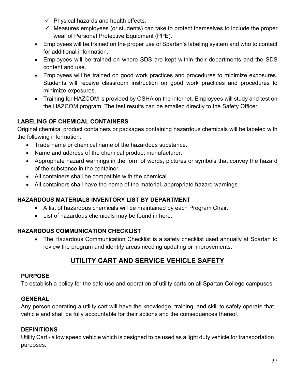- $\checkmark$  Physical hazards and health effects.
- $\checkmark$  Measures employees (or students) can take to protect themselves to include the proper wear of Personal Protective Equipment (PPE).
- Employees will be trained on the proper use of Spartan's labeling system and who to contact for additional information.
- Employees will be trained on where SDS are kept within their departments and the SDS content and use.
- Employees will be trained on good work practices and procedures to minimize exposures. Students will receive classroom instruction on good work practices and procedures to minimize exposures.
- Training for HAZCOM is provided by OSHA on the internet. Employees will study and test on the HAZCOM program. The test results can be emailed directly to the Safety Officer.

# **LABELING OF CHEMICAL CONTAINERS**

Original chemical product containers or packages containing hazardous chemicals will be labeled with the following information:

- Trade name or chemical name of the hazardous substance.
- Name and address of the chemical product manufacturer.
- Appropriate hazard warnings in the form of words, pictures or symbols that convey the hazard of the substance in the container.
- All containers shall be compatible with the chemical.
- All containers shall have the name of the material, appropriate hazard warnings.

# **HAZARDOUS MATERIALS INVENTORY LIST BY DEPARTMENT**

- A list of hazardous chemicals will be maintained by each Program Chair.
- List of hazardous chemicals may be found in here.

# **HAZARDOUS COMMUNICATION CHECKLIST**

• The Hazardous Communication Checklist is a safety checklist used annually at Spartan to review the program and identify areas needing updating or improvements.

# **UTILITY CART AND SERVICE VEHICLE SAFETY**

#### <span id="page-36-0"></span>**PURPOSE**

To establish a policy for the safe use and operation of utility carts on all Spartan College campuses.

# **GENERAL**

Any person operating a utility cart will have the knowledge, training, and skill to safely operate that vehicle and shall be fully accountable for their actions and the consequences thereof.

# **DEFINITIONS**

Utility Cart - a low speed vehicle which is designed to be used as a light duty vehicle for transportation purposes.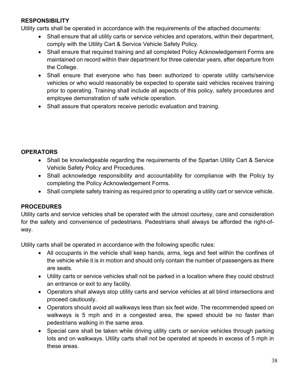# **RESPONSIBILITY**

Utility carts shall be operated in accordance with the requirements of the attached documents:

- Shall ensure that all utility carts or service vehicles and operators, within their department, comply with the Utility Cart & Service Vehicle Safety Policy.
- Shall ensure that required training and all completed [Policy Acknowledgement Forms](https://ww2-test.rmu.edu/OnTheMove/findoutmore.open_page?iCalledBy=findoutmore&iPage=67661&ivisitor=0) are maintained on record within their department for three calendar years, after departure from the College.
- Shall ensure that everyone who has been authorized to operate utility carts/service vehicles or who would reasonably be expected to operate said vehicles receives training prior to operating. Training shall include all aspects of this policy, safety procedures and employee demonstration of safe vehicle operation.
- Shall assure that operators receive periodic evaluation and training.

#### **OPERATORS**

- Shall be knowledgeable regarding the requirements of the Spartan Utility Cart & Service Vehicle Safety Policy and Procedures.
- Shall acknowledge responsibility and accountability for compliance with the Policy by completing the [Policy Acknowledgement Forms.](https://ww2-test.rmu.edu/OnTheMove/findoutmore.open_page?iCalledBy=findoutmore&iPage=67661&ivisitor=0)
- Shall complete safety training as required prior to operating a utility cart or service vehicle.

# **PROCEDURES**

Utility carts and service vehicles shall be operated with the utmost courtesy, care and consideration for the safety and convenience of pedestrians. Pedestrians shall always be afforded the right-ofway.

Utility carts shall be operated in accordance with the following specific rules:

- All occupants in the vehicle shall keep hands, arms, legs and feet within the confines of the vehicle while it is in motion and should only contain the number of passengers as there are seats.
- Utility carts or service vehicles shall not be parked in a location where they could obstruct an entrance or exit to any facility.
- Operators shall always stop utility carts and service vehicles at all blind intersections and proceed cautiously.
- Operators should avoid all walkways less than six feet wide. The recommended speed on walkways is 5 mph and in a congested area, the speed should be no faster than pedestrians walking in the same area.
- Special care shall be taken while driving utility carts or service vehicles through parking lots and on walkways. Utility carts shall not be operated at speeds in excess of 5 mph in these areas.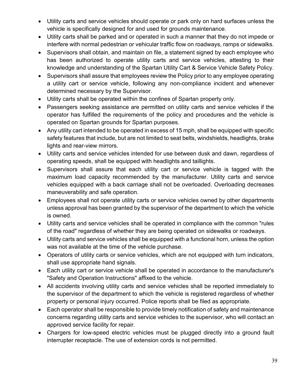- Utility carts and service vehicles should operate or park only on hard surfaces unless the vehicle is specifically designed for and used for grounds maintenance.
- Utility carts shall be parked and or operated in such a manner that they do not impede or interfere with normal pedestrian or vehicular traffic flow on roadways, ramps or sidewalks.
- Supervisors shall obtain, and maintain on file, a statement signed by each employee who has been authorized to operate utility carts and service vehicles, attesting to their knowledge and understanding of the Spartan Utility Cart & Service Vehicle Safety Policy.
- Supervisors shall assure that employees review the Policy prior to any employee operating a utility cart or service vehicle, following any non-compliance incident and whenever determined necessary by the Supervisor.
- Utility carts shall be operated within the confines of Spartan property only.
- Passengers seeking assistance are permitted on utility carts and service vehicles if the operator has fulfilled the requirements of the policy and procedures and the vehicle is operated on Spartan grounds for Spartan purposes.
- Any utility cart intended to be operated in excess of 15 mph, shall be equipped with specific safety features that include, but are not limited to seat belts, windshields, headlights, brake lights and rear-view mirrors.
- Utility carts and service vehicles intended for use between dusk and dawn, regardless of operating speeds, shall be equipped with headlights and taillights.
- Supervisors shall assure that each utility cart or service vehicle is tagged with the maximum load capacity recommended by the manufacturer. Utility carts and service vehicles equipped with a back carriage shall not be overloaded. Overloading decreases maneuverability and safe operation.
- Employees shall not operate utility carts or service vehicles owned by other departments unless approval has been granted by the supervisor of the department to which the vehicle is owned.
- Utility carts and service vehicles shall be operated in compliance with the common "rules of the road" regardless of whether they are being operated on sidewalks or roadways.
- Utility carts and service vehicles shall be equipped with a functional horn, unless the option was not available at the time of the vehicle purchase.
- Operators of utility carts or service vehicles, which are not equipped with turn indicators, shall use appropriate hand signals.
- Each utility cart or service vehicle shall be operated in accordance to the manufacturer's "Safety and Operation Instructions" affixed to the vehicle.
- All accidents involving utility carts and service vehicles shall be reported immediately to the supervisor of the department to which the vehicle is registered regardless of whether property or personal injury occurred. Police reports shall be filed as appropriate.
- Each operator shall be responsible to provide timely notification of safety and maintenance concerns regarding utility carts and service vehicles to the supervisor, who will contact an approved service facility for repair.
- Chargers for low-speed electric vehicles must be plugged directly into a ground fault interrupter receptacle. The use of extension cords is not permitted.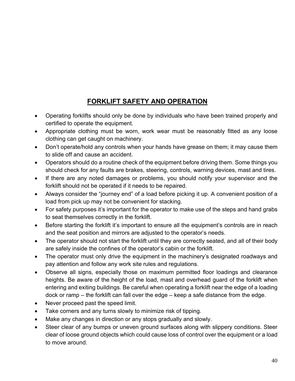# **FORKLIFT SAFETY AND OPERATION**

- <span id="page-39-0"></span>• Operating forklifts should only be done by individuals who have been trained properly and certified to operate the equipment.
- Appropriate clothing must be worn, work wear must be reasonably fitted as any loose clothing can get caught on machinery.
- Don't operate/hold any controls when your hands have grease on them; it may cause them to slide off and cause an accident.
- Operators should do a routine check of the equipment before driving them. Some things you should check for any faults are brakes, steering, controls, warning devices, mast and tires.
- If there are any noted damages or problems, you should notify your supervisor and the forklift should not be operated if it needs to be repaired.
- Always consider the "journey end" of a load before picking it up. A convenient position of a load from pick up may not be convenient for stacking.
- For safety purposes it's important for the operator to make use of the steps and hand grabs to seat themselves correctly in the forklift.
- Before starting the forklift it's important to ensure all the equipment's controls are in reach and the seat position and mirrors are adjusted to the operator's needs.
- The operator should not start the forklift until they are correctly seated, and all of their body are safely inside the confines of the operator's cabin or the forklift.
- The operator must only drive the equipment in the machinery's designated roadways and pay attention and follow any work site rules and regulations.
- Observe all signs, especially those on maximum permitted floor loadings and clearance heights. Be aware of the height of the load, mast and overhead guard of the forklift when entering and exiting buildings. Be careful when operating a forklift near the edge of a loading dock or ramp – the forklift can fall over the edge – keep a safe distance from the edge.
- Never proceed past the speed limit.
- Take corners and any turns slowly to minimize risk of tipping.
- Make any changes in direction or any stops gradually and slowly.
- Steer clear of any bumps or uneven ground surfaces along with slippery conditions. Steer clear of loose ground objects which could cause loss of control over the equipment or a load to move around.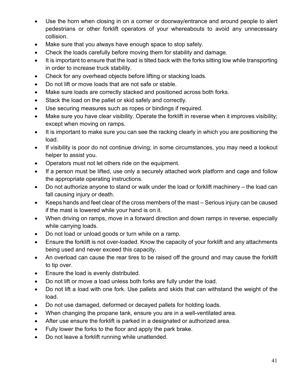- Use the horn when closing in on a corner or doorway/entrance and around people to alert pedestrians or other forklift operators of your whereabouts to avoid any unnecessary collision.
- Make sure that you always have enough space to stop safely.
- Check the loads carefully before moving them for stability and damage.
- It is important to ensure that the load is tilted back with the forks sitting low while transporting in order to increase truck stability.
- Check for any overhead objects before lifting or stacking loads.
- Do not lift or move loads that are not safe or stable.
- Make sure loads are correctly stacked and positioned across both forks.
- Stack the load on the pallet or skid safely and correctly.
- Use securing measures such as ropes or bindings if required.
- Make sure you have clear visibility. Operate the forklift in reverse when it improves visibility; except when moving on ramps.
- It is important to make sure you can see the racking clearly in which you are positioning the load.
- If visibility is poor do not continue driving; in some circumstances, you may need a lookout helper to assist you.
- Operators must not let others ride on the equipment.
- If a person must be lifted, use only a securely attached work platform and cage and follow the appropriate operating instructions.
- Do not authorize anyone to stand or walk under the load or forklift machinery the load can fall causing injury or death.
- Keeps hands and feet clear of the cross members of the mast Serious injury can be caused if the mast is lowered while your hand is on it.
- When driving on ramps, move in a forward direction and down ramps in reverse, especially while carrying loads.
- Do not load or unload goods or turn while on a ramp.
- Ensure the forklift is not over-loaded. Know the capacity of your forklift and any attachments being used and never exceed this capacity.
- An overload can cause the rear tires to be raised off the ground and may cause the forklift to tip over.
- Ensure the load is evenly distributed.
- Do not lift or move a load unless both forks are fully under the load.
- Do not lift a load with one fork. Use pallets and skids that can withstand the weight of the load.
- Do not use damaged, deformed or decayed pallets for holding loads.
- When changing the propane tank, ensure you are in a well-ventilated area.
- After use ensure the forklift is parked in a designated or authorized area.
- Fully lower the forks to the floor and apply the park brake.
- Do not leave a forklift running while unattended.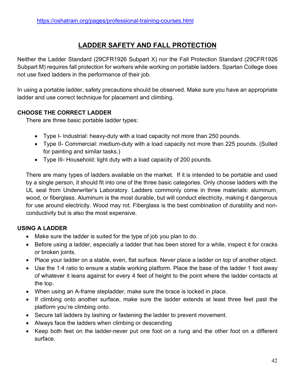# **LADDER SAFETY AND FALL PROTECTION**

<span id="page-41-0"></span>Neither the Ladder Standard (29CFR1926 Subpart X) nor the Fall Protection Standard (29CFR1926 Subpart M) requires fall protection for workers while working on portable ladders. Spartan College does not use fixed ladders in the performance of their job.

In using a portable ladder, safety precautions should be observed. Make sure you have an appropriate ladder and use correct technique for placement and climbing.

#### **CHOOSE THE CORRECT LADDER**

There are three basic portable ladder types:

- Type I- Industrial: heavy-duty with a load capacity not more than 250 pounds.
- Type II- Commercial: medium-duty with a load capacity not more than 225 pounds. (Suited for painting and similar tasks.)
- Type III- Household: light duty with a load capacity of 200 pounds.

There are many types of ladders available on the market. If it is intended to be portable and used by a single person, it should fit into one of the three basic categories. Only choose ladders with the UL seal from Underwriter's Laboratory. Ladders commonly come in three materials: aluminum, wood, or fiberglass. Aluminum is the most durable, but will conduct electricity, making it dangerous for use around electricity. Wood may rot. Fiberglass is the best combination of durability and nonconductivity but is also the most expensive.

# **USING A LADDER**

- Make sure the ladder is suited for the type of job you plan to do.
- Before using a ladder, especially a ladder that has been stored for a while, inspect it for cracks or broken joints.
- Place your ladder on a stable, even, flat surface. Never place a ladder on top of another object.
- Use the 1:4 ratio to ensure a stable working platform. Place the base of the ladder 1 foot away of whatever it leans against for every 4 feet of height to the point where the ladder contacts at the top.
- When using an A-frame stepladder, make sure the brace is locked in place.
- If climbing onto another surface, make sure the ladder extends at least three feet past the platform you're climbing onto.
- Secure tall ladders by lashing or fastening the ladder to prevent movement.
- Always face the ladders when climbing or descending
- Keep both feet on the ladder-never put one foot on a rung and the other foot on a different surface.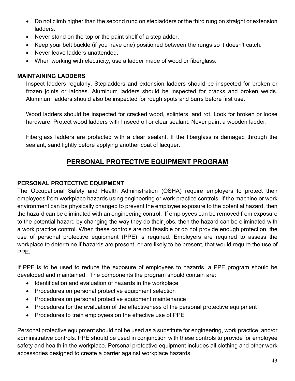- Do not climb higher than the second rung on stepladders or the third rung on straight or extension ladders.
- Never stand on the top or the paint shelf of a stepladder.
- Keep your belt buckle (if you have one) positioned between the rungs so it doesn't catch.
- Never leave ladders unattended.
- When working with electricity, use a ladder made of wood or fiberglass.

#### **MAINTAINING LADDERS**

Inspect ladders regularly. Stepladders and extension ladders should be inspected for broken or frozen joints or latches. Aluminum ladders should be inspected for cracks and broken welds. Aluminum ladders should also be inspected for rough spots and burrs before first use.

Wood ladders should be inspected for cracked wood, splinters, and rot. Look for broken or loose hardware. Protect wood ladders with linseed oil or clear sealant. Never paint a wooden ladder.

Fiberglass ladders are protected with a clear sealant. If the fiberglass is damaged through the sealant, sand lightly before applying another coat of lacquer.

# **PERSONAL PROTECTIVE EQUIPMENT PROGRAM**

# <span id="page-42-0"></span>**PERSONAL PROTECTIVE EQUIPMENT**

The Occupational Safety and Health Administration (OSHA) require employers to protect their employees from workplace hazards using engineering or work practice controls. If the machine or work environment can be physically changed to prevent the employee exposure to the potential hazard, then the hazard can be eliminated with an engineering control. If employees can be removed from exposure to the potential hazard by changing the way they do their jobs, then the hazard can be eliminated with a work practice control. When these controls are not feasible or do not provide enough protection, the use of personal protective equipment (PPE) is required. Employers are required to assess the workplace to determine if hazards are present, or are likely to be present, that would require the use of PPE.

If PPE is to be used to reduce the exposure of employees to hazards, a PPE program should be developed and maintained. The components the program should contain are:

- Identification and evaluation of hazards in the workplace
- Procedures on personal protective equipment selection
- Procedures on personal protective equipment maintenance
- Procedures for the evaluation of the effectiveness of the personal protective equipment
- Procedures to train employees on the effective use of PPE

Personal protective equipment should not be used as a substitute for engineering, work practice, and/or administrative controls. PPE should be used in conjunction with these controls to provide for employee safety and health in the workplace. Personal protective equipment includes all clothing and other work accessories designed to create a barrier against workplace hazards.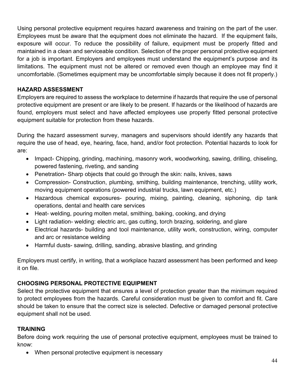Using personal protective equipment requires hazard awareness and training on the part of the user. Employees must be aware that the equipment does not eliminate the hazard. If the equipment fails, exposure will occur. To reduce the possibility of failure, equipment must be properly fitted and maintained in a clean and serviceable condition. Selection of the proper personal protective equipment for a job is important. Employers and employees must understand the equipment's purpose and its limitations. The equipment must not be altered or removed even though an employee may find it uncomfortable. (Sometimes equipment may be uncomfortable simply because it does not fit properly.)

# **HAZARD ASSESSMENT**

Employers are required to assess the workplace to determine if hazards that require the use of personal protective equipment are present or are likely to be present. If hazards or the likelihood of hazards are found, employers must select and have affected employees use properly fitted personal protective equipment suitable for protection from these hazards.

During the hazard assessment survey, managers and supervisors should identify any hazards that require the use of head, eye, hearing, face, hand, and/or foot protection. Potential hazards to look for are:

- Impact- Chipping, grinding, machining, masonry work, woodworking, sawing, drilling, chiseling, powered fastening, riveting, and sanding
- Penetration-Sharp objects that could go through the skin: nails, knives, saws
- Compression- Construction, plumbing, smithing, building maintenance, trenching, utility work, moving equipment operations (powered industrial trucks, lawn equipment, etc.)
- Hazardous chemical exposures- pouring, mixing, painting, cleaning, siphoning, dip tank operations, dental and health care services
- Heat- welding, pouring molten metal, smithing, baking, cooking, and drying
- Light radiation- welding: electric arc, gas cutting, torch brazing, soldering, and glare
- Electrical hazards- building and tool maintenance, utility work, construction, wiring, computer and arc or resistance welding
- Harmful dusts- sawing, drilling, sanding, abrasive blasting, and grinding

Employers must certify, in writing, that a workplace hazard assessment has been performed and keep it on file.

# **CHOOSING PERSONAL PROTECTIVE EQUIPMENT**

Select the protective equipment that ensures a level of protection greater than the minimum required to protect employees from the hazards. Careful consideration must be given to comfort and fit. Care should be taken to ensure that the correct size is selected. Defective or damaged personal protective equipment shall not be used.

# **TRAINING**

Before doing work requiring the use of personal protective equipment, employees must be trained to know:

• When personal protective equipment is necessary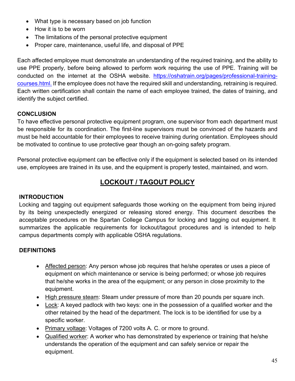- What type is necessary based on job function
- How it is to be worn
- The limitations of the personal protective equipment
- Proper care, maintenance, useful life, and disposal of PPE

Each affected employee must demonstrate an understanding of the required training, and the ability to use PPE properly, before being allowed to perform work requiring the use of PPE. Training will be conducted on the internet at the OSHA website. https://oshatrain.org/pages/professional-trainingcourses.html. If the employee does not have the required skill and understanding, retraining is required. Each written certification shall contain the name of each employee trained, the dates of training, and identify the subject certified.

#### **CONCLUSION**

To have effective personal protective equipment program, one supervisor from each department must be responsible for its coordination. The first-line supervisors must be convinced of the hazards and must be held accountable for their employees to receive training during orientation. Employees should be motivated to continue to use protective gear though an on-going safety program.

Personal protective equipment can be effective only if the equipment is selected based on its intended use, employees are trained in its use, and the equipment is properly tested, maintained, and worn.

# **LOCKOUT / TAGOUT POLICY**

#### <span id="page-44-0"></span>**INTRODUCTION**

Locking and tagging out equipment safeguards those working on the equipment from being injured by its being unexpectedly energized or releasing stored energy. This document describes the acceptable procedures on the Spartan College Campus for locking and tagging out equipment. It summarizes the applicable requirements for lockout/tagout procedures and is intended to help campus departments comply with applicable OSHA regulations.

# **DEFINITIONS**

- Affected person: Any person whose job requires that he/she operates or uses a piece of equipment on which maintenance or service is being performed; or whose job requires that he/she works in the area of the equipment; or any person in close proximity to the equipment.
- High pressure steam: Steam under pressure of more than 20 pounds per square inch.
- Lock: A keyed padlock with two keys: one in the possession of a qualified worker and the other retained by the head of the department. The lock is to be identified for use by a specific worker.
- Primary voltage: Voltages of 7200 volts A. C. or more to ground.
- Qualified worker: A worker who has demonstrated by experience or training that he/she understands the operation of the equipment and can safely service or repair the equipment.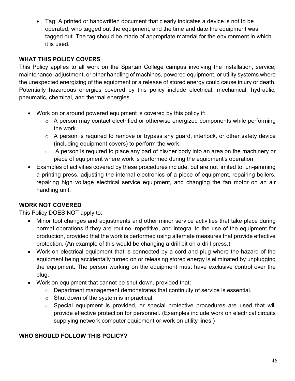• Tag: A printed or handwritten document that clearly indicates a device is not to be operated, who tagged out the equipment, and the time and date the equipment was tagged out. The tag should be made of appropriate material for the environment in which it is used.

#### **WHAT THIS POLICY COVERS**

This Policy applies to all work on the Spartan College campus involving the installation, service, maintenance, adjustment, or other handling of machines, powered equipment, or utility systems where the unexpected energizing of the equipment or a release of stored energy could cause injury or death. Potentially hazardous energies covered by this policy include electrical, mechanical, hydraulic, pneumatic, chemical, and thermal energies.

- Work on or around powered equipment is covered by this policy if:
	- o A person may contact electrified or otherwise energized components while performing the work.
	- o A person is required to remove or bypass any guard, interlock, or other safety device (including equipment covers) to perform the work.
	- o A person is required to place any part of his/her body into an area on the machinery or piece of equipment where work is performed during the equipment's operation.
- Examples of activities covered by these procedures include, but are not limited to, un-jamming a printing press, adjusting the internal electronics of a piece of equipment, repairing boilers, repairing high voltage electrical service equipment, and changing the fan motor on an air handling unit.

# **WORK NOT COVERED**

This Policy DOES NOT apply to:

- Minor tool changes and adjustments and other minor service activities that take place during normal operations if they are routine, repetitive, and integral to the use of the equipment for production, provided that the work is performed using alternate measures that provide effective protection. (An example of this would be changing a drill bit on a drill press.)
- Work on electrical equipment that is connected by a cord and plug where the hazard of the equipment being accidentally turned on or releasing stored energy is eliminated by unplugging the equipment. The person working on the equipment must have exclusive control over the plug.
- Work on equipment that cannot be shut down, provided that:
	- $\circ$  Department management demonstrates that continuity of service is essential.
	- $\circ$  Shut down of the system is impractical.
	- o Special equipment is provided, or special protective procedures are used that will provide effective protection for personnel. (Examples include work on electrical circuits supplying network computer equipment or work on utility lines.)

# **WHO SHOULD FOLLOW THIS POLICY?**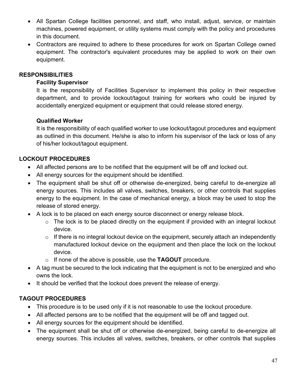- All Spartan College facilities personnel, and staff, who install, adjust, service, or maintain machines, powered equipment, or utility systems must comply with the policy and procedures in this document.
- Contractors are required to adhere to these procedures for work on Spartan College owned equipment. The contractor's equivalent procedures may be applied to work on their own equipment.

#### **RESPONSIBILITIES**

#### **Facility Supervisor**

It is the responsibility of Facilities Supervisor to implement this policy in their respective department, and to provide lockout/tagout training for workers who could be injured by accidentally energized equipment or equipment that could release stored energy.

#### **Qualified Worker**

It is the responsibility of each qualified worker to use lockout/tagout procedures and equipment as outlined in this document. He/she is also to inform his supervisor of the lack or loss of any of his/her lockout/tagout equipment.

#### **LOCKOUT PROCEDURES**

- All affected persons are to be notified that the equipment will be off and locked out.
- All energy sources for the equipment should be identified.
- The equipment shall be shut off or otherwise de-energized, being careful to de-energize all energy sources. This includes all valves, switches, breakers, or other controls that supplies energy to the equipment. In the case of mechanical energy, a block may be used to stop the release of stored energy.
- A lock is to be placed on each energy source disconnect or energy release block.
	- $\circ$  The lock is to be placed directly on the equipment if provided with an integral lockout device.
	- $\circ$  If there is no integral lockout device on the equipment, securely attach an independently manufactured lockout device on the equipment and then place the lock on the lockout device.
	- o If none of the above is possible, use the **TAGOUT** procedure.
- A tag must be secured to the lock indicating that the equipment is not to be energized and who owns the lock.
- It should be verified that the lockout does prevent the release of energy.

# **TAGOUT PROCEDURES**

- This procedure is to be used only if it is not reasonable to use the lockout procedure.
- All affected persons are to be notified that the equipment will be off and tagged out.
- All energy sources for the equipment should be identified.
- The equipment shall be shut off or otherwise de-energized, being careful to de-energize all energy sources. This includes all valves, switches, breakers, or other controls that supplies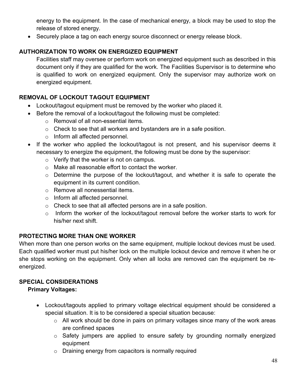energy to the equipment. In the case of mechanical energy, a block may be used to stop the release of stored energy.

• Securely place a tag on each energy source disconnect or energy release block.

# **AUTHORIZATION TO WORK ON ENERGIZED EQUIPMENT**

Facilities staff may oversee or perform work on energized equipment such as described in this document only if they are qualified for the work. The Facilities Supervisor is to determine who is qualified to work on energized equipment. Only the supervisor may authorize work on energized equipment.

# **REMOVAL OF LOCKOUT TAGOUT EQUIPMENT**

- Lockout/tagout equipment must be removed by the worker who placed it.
- Before the removal of a lockout/tagout the following must be completed:
	- o Removal of all non-essential items.
	- o Check to see that all workers and bystanders are in a safe position.
	- o Inform all affected personnel.
- If the worker who applied the lockout/tagout is not present, and his supervisor deems it necessary to energize the equipment, the following must be done by the supervisor:
	- o Verify that the worker is not on campus.
	- o Make all reasonable effort to contact the worker.
	- o Determine the purpose of the lockout/tagout, and whether it is safe to operate the equipment in its current condition.
	- o Remove all nonessential items.
	- o Inform all affected personnel.
	- o Check to see that all affected persons are in a safe position.
	- o Inform the worker of the lockout/tagout removal before the worker starts to work for his/her next shift.

# **PROTECTING MORE THAN ONE WORKER**

When more than one person works on the same equipment, multiple lockout devices must be used. Each qualified worker must put his/her lock on the multiple lockout device and remove it when he or she stops working on the equipment. Only when all locks are removed can the equipment be reenergized.

# **SPECIAL CONSIDERATIONS**

# **Primary Voltages:**

- Lockout/tagouts applied to primary voltage electrical equipment should be considered a special situation. It is to be considered a special situation because:
	- $\circ$  All work should be done in pairs on primary voltages since many of the work areas are confined spaces
	- o Safety jumpers are applied to ensure safety by grounding normally energized equipment
	- o Draining energy from capacitors is normally required